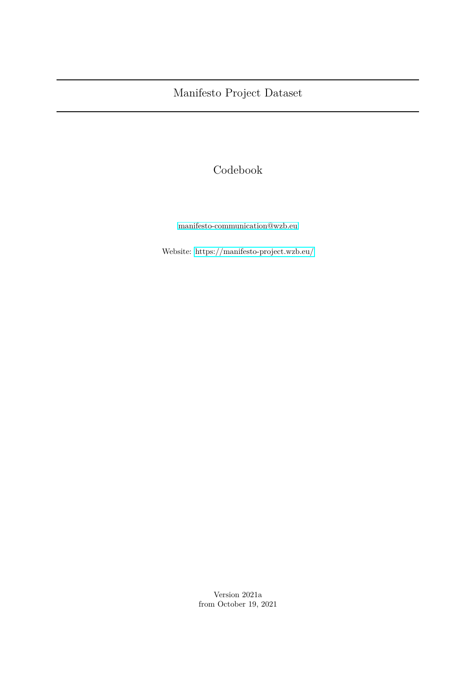# Codebook

[manifesto-communication@wzb.eu](mailto:manifesto-communication@wzb.eu)

Website:<https://manifesto-project.wzb.eu/>

Version 2021a from October 19, 2021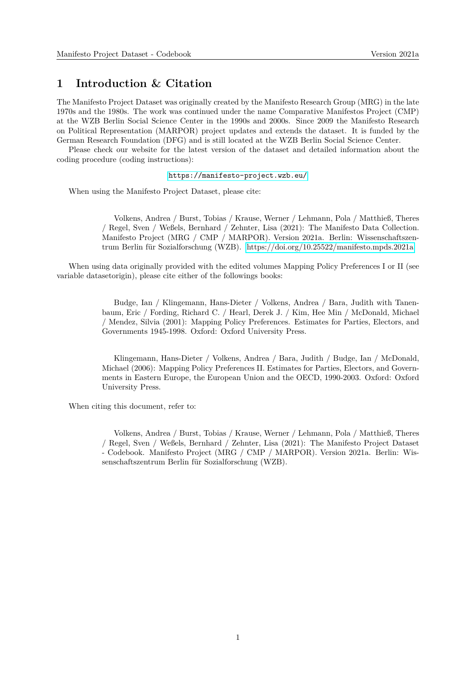#### **1 Introduction & Citation**

The Manifesto Project Dataset was originally created by the Manifesto Research Group (MRG) in the late 1970s and the 1980s. The work was continued under the name Comparative Manifestos Project (CMP) at the WZB Berlin Social Science Center in the 1990s and 2000s. Since 2009 the Manifesto Research on Political Representation (MARPOR) project updates and extends the dataset. It is funded by the German Research Foundation (DFG) and is still located at the WZB Berlin Social Science Center.

Please check our website for the latest version of the dataset and detailed information about the coding procedure (coding instructions):

#### <https://manifesto-project.wzb.eu/>

When using the Manifesto Project Dataset, please cite:

Volkens, Andrea / Burst, Tobias / Krause, Werner / Lehmann, Pola / Matthieß, Theres / Regel, Sven / Weßels, Bernhard / Zehnter, Lisa (2021): The Manifesto Data Collection. Manifesto Project (MRG / CMP / MARPOR). Version 2021a. Berlin: Wissenschaftszentrum Berlin für Sozialforschung (WZB).<https://doi.org/10.25522/manifesto.mpds.2021a>

When using data originally provided with the edited volumes Mapping Policy Preferences I or II (see variable datasetorigin), please cite either of the followings books:

> Budge, Ian / Klingemann, Hans-Dieter / Volkens, Andrea / Bara, Judith with Tanenbaum, Eric / Fording, Richard C. / Hearl, Derek J. / Kim, Hee Min / McDonald, Michael / Mendez, Silvia (2001): Mapping Policy Preferences. Estimates for Parties, Electors, and Governments 1945-1998. Oxford: Oxford University Press.

> Klingemann, Hans-Dieter / Volkens, Andrea / Bara, Judith / Budge, Ian / McDonald, Michael (2006): Mapping Policy Preferences II. Estimates for Parties, Electors, and Governments in Eastern Europe, the European Union and the OECD, 1990-2003. Oxford: Oxford University Press.

When citing this document, refer to:

Volkens, Andrea / Burst, Tobias / Krause, Werner / Lehmann, Pola / Matthieß, Theres / Regel, Sven / Weßels, Bernhard / Zehnter, Lisa (2021): The Manifesto Project Dataset - Codebook. Manifesto Project (MRG / CMP / MARPOR). Version 2021a. Berlin: Wissenschaftszentrum Berlin für Sozialforschung (WZB).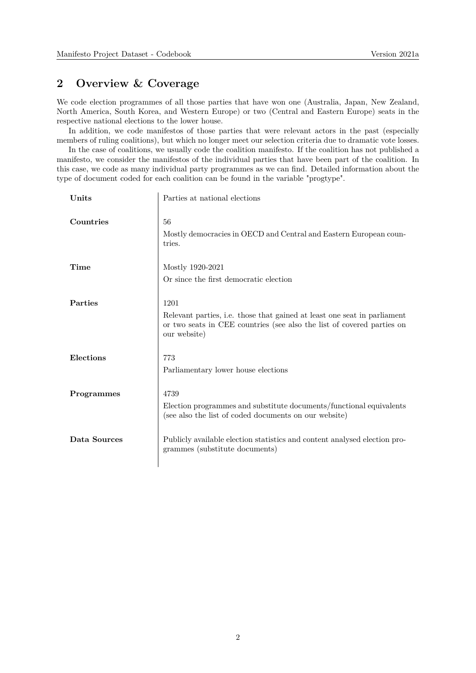#### **2 Overview & Coverage**

We code election programmes of all those parties that have won one (Australia, Japan, New Zealand, North America, South Korea, and Western Europe) or two (Central and Eastern Europe) seats in the respective national elections to the lower house.

In addition, we code manifestos of those parties that were relevant actors in the past (especially members of ruling coalitions), but which no longer meet our selection criteria due to dramatic vote losses.

In the case of coalitions, we usually code the coalition manifesto. If the coalition has not published a manifesto, we consider the manifestos of the individual parties that have been part of the coalition. In this case, we code as many individual party programmes as we can find. Detailed information about the type of document coded for each coalition can be found in the variable "progtype".

| Units        | Parties at national elections                                                                                                                                              |
|--------------|----------------------------------------------------------------------------------------------------------------------------------------------------------------------------|
| Countries    | 56<br>Mostly democracies in OECD and Central and Eastern European coun-<br>tries.                                                                                          |
| Time         | Mostly 1920-2021<br>Or since the first democratic election                                                                                                                 |
| Parties      | 1201<br>Relevant parties, i.e. those that gained at least one seat in parliament<br>or two seats in CEE countries (see also the list of covered parties on<br>our website) |
| Elections    | 773<br>Parliamentary lower house elections                                                                                                                                 |
| Programmes   | 4739<br>Election programmes and substitute documents/functional equivalents<br>(see also the list of coded documents on our website)                                       |
| Data Sources | Publicly available election statistics and content analysed election pro-<br>grammes (substitute documents)                                                                |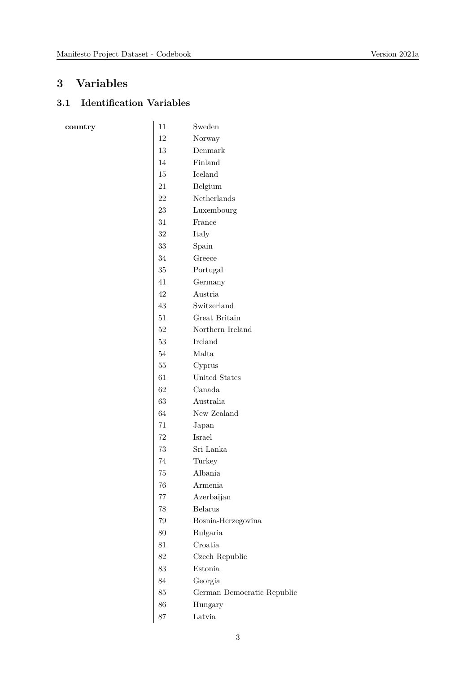### **3 Variables**

 $\frac{1}{2}$  country

### **3.1 Identification Variables**

| 11     | Sweden                     |
|--------|----------------------------|
| 12     | Norway                     |
| 13     | Denmark                    |
| 14     | Finland                    |
| 15     | Iceland                    |
| 21     | Belgium                    |
| $22\,$ | Netherlands                |
| 23     | Luxembourg                 |
| 31     | France                     |
| 32     | Italy                      |
| 33     | Spain                      |
| 34     | Greece                     |
| 35     | Portugal                   |
| 41     | Germany                    |
| 42     | Austria                    |
| 43     | Switzerland                |
| 51     | Great Britain              |
| 52     | Northern Ireland           |
| 53     | Ireland                    |
| 54     | Malta                      |
| $55\,$ | Cyprus                     |
| 61     | United States              |
| 62     | Canada                     |
| 63     | Australia                  |
| 64     | New Zealand                |
| 71     | Japan                      |
| 72     | Israel                     |
| 73     | Sri Lanka                  |
| 74     | Turkey                     |
| 75     | Albania                    |
| 76     | Armenia                    |
| 77     | Azerbaijan                 |
| 78     | <b>Belarus</b>             |
| 79     | Bosnia-Herzegovina         |
| 80     | Bulgaria                   |
| 81     | Croatia                    |
| 82     | Czech Republic             |
| 83     | Estonia                    |
| 84     | Georgia                    |
| 85     | German Democratic Republic |
| 86     | Hungary                    |
| 87     | Latvia                     |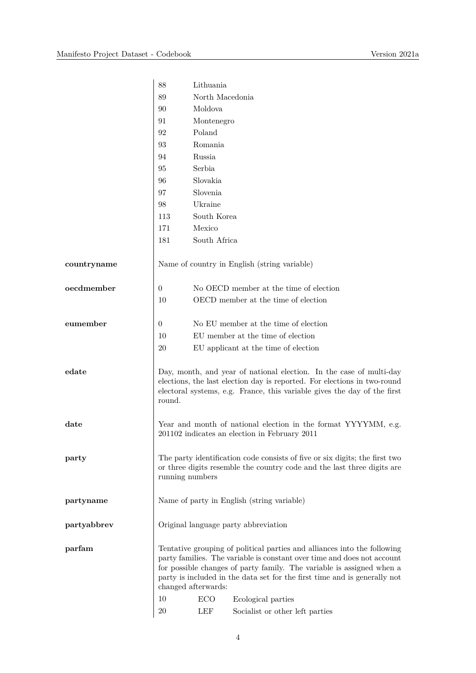|               | 88             | Lithuania           |                                                                                                                                                                                                                                                                                                           |
|---------------|----------------|---------------------|-----------------------------------------------------------------------------------------------------------------------------------------------------------------------------------------------------------------------------------------------------------------------------------------------------------|
|               | 89             | North Macedonia     |                                                                                                                                                                                                                                                                                                           |
|               | 90             | Moldova             |                                                                                                                                                                                                                                                                                                           |
|               | 91             | Montenegro          |                                                                                                                                                                                                                                                                                                           |
|               | 92             | Poland              |                                                                                                                                                                                                                                                                                                           |
|               | 93             | Romania             |                                                                                                                                                                                                                                                                                                           |
|               | 94             | Russia              |                                                                                                                                                                                                                                                                                                           |
|               | 95             | Serbia              |                                                                                                                                                                                                                                                                                                           |
|               | 96             | Slovakia            |                                                                                                                                                                                                                                                                                                           |
|               | 97             | Slovenia            |                                                                                                                                                                                                                                                                                                           |
|               | 98             | Ukraine             |                                                                                                                                                                                                                                                                                                           |
|               | 113            | South Korea         |                                                                                                                                                                                                                                                                                                           |
|               | 171            | Mexico              |                                                                                                                                                                                                                                                                                                           |
|               | 181            | South Africa        |                                                                                                                                                                                                                                                                                                           |
| countryname   |                |                     | Name of country in English (string variable)                                                                                                                                                                                                                                                              |
| oecdmember    | 0              |                     | No OECD member at the time of election                                                                                                                                                                                                                                                                    |
|               | 10             |                     | OECD member at the time of election                                                                                                                                                                                                                                                                       |
| eumember      | $\overline{0}$ |                     | No EU member at the time of election                                                                                                                                                                                                                                                                      |
|               | 10             |                     | EU member at the time of election                                                                                                                                                                                                                                                                         |
|               | 20             |                     | EU applicant at the time of election                                                                                                                                                                                                                                                                      |
| edate         | round.         |                     | Day, month, and year of national election. In the case of multi-day<br>elections, the last election day is reported. For elections in two-round<br>electoral systems, e.g. France, this variable gives the day of the first                                                                               |
| $_{\rm date}$ |                |                     | Year and month of national election in the format YYYYMM, e.g.<br>201102 indicates an election in February 2011                                                                                                                                                                                           |
| party         |                | running numbers     | The party identification code consists of five or six digits; the first two<br>or three digits resemble the country code and the last three digits are                                                                                                                                                    |
| partyname     |                |                     | Name of party in English (string variable)                                                                                                                                                                                                                                                                |
| partyabbrev   |                |                     | Original language party abbreviation                                                                                                                                                                                                                                                                      |
| parfam        |                | changed afterwards: | Tentative grouping of political parties and alliances into the following<br>party families. The variable is constant over time and does not account<br>for possible changes of party family. The variable is assigned when a<br>party is included in the data set for the first time and is generally not |
|               | 10             | <b>ECO</b>          | Ecological parties                                                                                                                                                                                                                                                                                        |
|               | 20             | LEF                 | Socialist or other left parties                                                                                                                                                                                                                                                                           |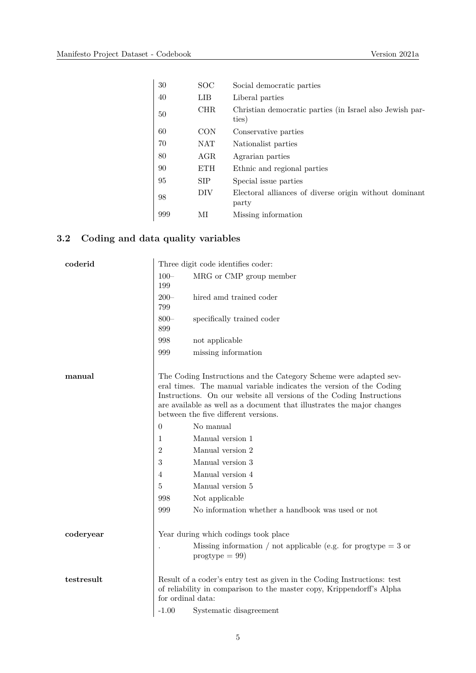| 30  | SOC <sup>.</sup> | Social democratic parties                                         |
|-----|------------------|-------------------------------------------------------------------|
| 40  | LIB              | Liberal parties                                                   |
| 50  | <b>CHR</b>       | Christian democratic parties (in Israel also Jewish par-<br>ties) |
| 60  | <b>CON</b>       | Conservative parties                                              |
| 70  | <b>NAT</b>       | Nationalist parties                                               |
| 80  | AGR              | Agrarian parties                                                  |
| 90  | <b>ETH</b>       | Ethnic and regional parties                                       |
| 95  | <b>SIP</b>       | Special issue parties                                             |
| 98  | DIV              | Electoral alliances of diverse origin without dominant<br>party   |
| 999 | ΜΙ               | Missing information                                               |

# **3.2 Coding and data quality variables**

| coderid    |                   | Three digit code identifies coder:                                                                                                                                                                                                                                                                                                 |
|------------|-------------------|------------------------------------------------------------------------------------------------------------------------------------------------------------------------------------------------------------------------------------------------------------------------------------------------------------------------------------|
|            | $100 -$<br>199    | MRG or CMP group member                                                                                                                                                                                                                                                                                                            |
|            | $200 -$<br>799    | hired amd trained coder                                                                                                                                                                                                                                                                                                            |
|            | $800 -$<br>899    | specifically trained coder                                                                                                                                                                                                                                                                                                         |
|            | 998               | not applicable                                                                                                                                                                                                                                                                                                                     |
|            | 999               | missing information                                                                                                                                                                                                                                                                                                                |
| manual     |                   | The Coding Instructions and the Category Scheme were adapted sev-<br>eral times. The manual variable indicates the version of the Coding<br>Instructions. On our website all versions of the Coding Instructions<br>are available as well as a document that illustrates the major changes<br>between the five different versions. |
|            | $\theta$          | No manual                                                                                                                                                                                                                                                                                                                          |
|            | 1                 | Manual version 1                                                                                                                                                                                                                                                                                                                   |
|            | $\overline{2}$    | Manual version 2                                                                                                                                                                                                                                                                                                                   |
|            | $\sqrt{3}$        | Manual version 3                                                                                                                                                                                                                                                                                                                   |
|            | 4                 | Manual version 4                                                                                                                                                                                                                                                                                                                   |
|            | 5                 | Manual version 5                                                                                                                                                                                                                                                                                                                   |
|            | 998               | Not applicable                                                                                                                                                                                                                                                                                                                     |
|            | 999               | No information whether a handbook was used or not                                                                                                                                                                                                                                                                                  |
| coderyear  |                   | Year during which codings took place                                                                                                                                                                                                                                                                                               |
|            |                   | Missing information / not applicable (e.g. for progtype $=$ 3 or<br>$progtype = 99$                                                                                                                                                                                                                                                |
| testresult | for ordinal data: | Result of a coder's entry test as given in the Coding Instructions: test<br>of reliability in comparison to the master copy, Krippendorff's Alpha                                                                                                                                                                                  |
|            | $-1.00$           | Systematic disagreement                                                                                                                                                                                                                                                                                                            |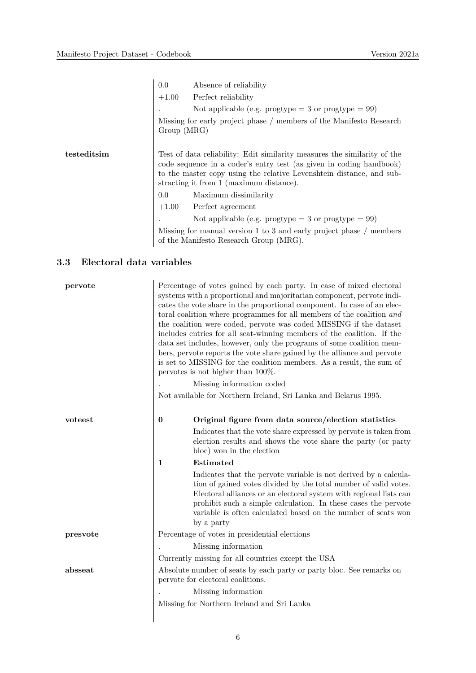|             | 0.0 Absence of reliability<br>$+1.00$ Perfect reliability<br>Not applicable (e.g. progtype = 3 or progtype = $99$ )<br>Missing for early project phase / members of the Manifesto Research<br>Group (MRG)                                                                                                                                                                                                                                                                                               |
|-------------|---------------------------------------------------------------------------------------------------------------------------------------------------------------------------------------------------------------------------------------------------------------------------------------------------------------------------------------------------------------------------------------------------------------------------------------------------------------------------------------------------------|
| testeditsim | Test of data reliability: Edit similarity measures the similarity of the<br>code sequence in a coder's entry test (as given in coding handbook)<br>to the master copy using the relative Levenshtein distance, and sub-<br>stracting it from 1 (maximum distance).<br>0.0 Maximum dissimilarity<br>$+1.00$ Perfect agreement<br>Not applicable (e.g. progtype = 3 or progtype = $99$ )<br>Missing for manual version 1 to 3 and early project phase / members<br>of the Manifesto Research Group (MRG). |

# **3.3 Electoral data variables**

| pervote  |          | Percentage of votes gained by each party. In case of mixed electoral<br>systems with a proportional and majoritarian component, pervote indi-<br>cates the vote share in the proportional component. In case of an elec-<br>toral coalition where programmes for all members of the coalition and<br>the coalition were coded, pervote was coded MISSING if the dataset<br>includes entries for all seat-winning members of the coalition. If the<br>data set includes, however, only the programs of some coalition mem-<br>bers, pervote reports the vote share gained by the alliance and pervote<br>is set to MISSING for the coalition members. As a result, the sum of<br>pervotes is not higher than $100\%$ .<br>Missing information coded<br>Not available for Northern Ireland, Sri Lanka and Belarus 1995. |
|----------|----------|-----------------------------------------------------------------------------------------------------------------------------------------------------------------------------------------------------------------------------------------------------------------------------------------------------------------------------------------------------------------------------------------------------------------------------------------------------------------------------------------------------------------------------------------------------------------------------------------------------------------------------------------------------------------------------------------------------------------------------------------------------------------------------------------------------------------------|
| voteest  | $\bf{0}$ | Original figure from data source/election statistics                                                                                                                                                                                                                                                                                                                                                                                                                                                                                                                                                                                                                                                                                                                                                                  |
|          |          | Indicates that the vote share expressed by pervote is taken from<br>election results and shows the vote share the party (or party<br>bloc) won in the election                                                                                                                                                                                                                                                                                                                                                                                                                                                                                                                                                                                                                                                        |
|          | 1        | Estimated                                                                                                                                                                                                                                                                                                                                                                                                                                                                                                                                                                                                                                                                                                                                                                                                             |
|          |          | Indicates that the pervote variable is not derived by a calcula-<br>tion of gained votes divided by the total number of valid votes.<br>Electoral alliances or an electoral system with regional lists can<br>prohibit such a simple calculation. In these cases the pervote<br>variable is often calculated based on the number of seats won<br>by a party                                                                                                                                                                                                                                                                                                                                                                                                                                                           |
| presvote |          | Percentage of votes in presidential elections                                                                                                                                                                                                                                                                                                                                                                                                                                                                                                                                                                                                                                                                                                                                                                         |
|          |          | Missing information                                                                                                                                                                                                                                                                                                                                                                                                                                                                                                                                                                                                                                                                                                                                                                                                   |
|          |          | Currently missing for all countries except the USA                                                                                                                                                                                                                                                                                                                                                                                                                                                                                                                                                                                                                                                                                                                                                                    |
| absseat  |          | Absolute number of seats by each party or party bloc. See remarks on<br>pervote for electoral coalitions.                                                                                                                                                                                                                                                                                                                                                                                                                                                                                                                                                                                                                                                                                                             |
|          |          | Missing information                                                                                                                                                                                                                                                                                                                                                                                                                                                                                                                                                                                                                                                                                                                                                                                                   |
|          |          | Missing for Northern Ireland and Sri Lanka                                                                                                                                                                                                                                                                                                                                                                                                                                                                                                                                                                                                                                                                                                                                                                            |
|          |          |                                                                                                                                                                                                                                                                                                                                                                                                                                                                                                                                                                                                                                                                                                                                                                                                                       |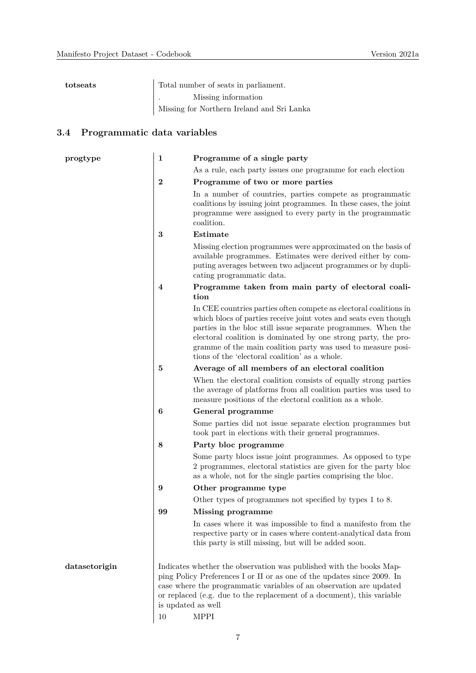| totseats | Total number of seats in parliament.       |
|----------|--------------------------------------------|
|          | Missing information                        |
|          | Missing for Northern Ireland and Sri Lanka |

# **3.4 Programmatic data variables**

| progtype      | $\mathbf{1}$             | Programme of a single party                                                                                                                                                                                                                                                                                                                                                                |
|---------------|--------------------------|--------------------------------------------------------------------------------------------------------------------------------------------------------------------------------------------------------------------------------------------------------------------------------------------------------------------------------------------------------------------------------------------|
|               |                          | As a rule, each party issues one programme for each election                                                                                                                                                                                                                                                                                                                               |
|               | $\bf{2}$                 | Programme of two or more parties                                                                                                                                                                                                                                                                                                                                                           |
|               |                          | In a number of countries, parties compete as programmatic<br>coalitions by issuing joint programmes. In these cases, the joint<br>programme were assigned to every party in the programmatic<br>coalition.                                                                                                                                                                                 |
|               | 3                        | Estimate                                                                                                                                                                                                                                                                                                                                                                                   |
|               |                          | Missing election programmes were approximated on the basis of<br>available programmes. Estimates were derived either by com-<br>puting averages between two adjacent programmes or by dupli-<br>cating programmatic data.                                                                                                                                                                  |
|               | 4                        | Programme taken from main party of electoral coali-<br>tion                                                                                                                                                                                                                                                                                                                                |
|               |                          | In CEE countries parties often compete as electoral coalitions in<br>which blocs of parties receive joint votes and seats even though<br>parties in the bloc still issue separate programmes. When the<br>electoral coalition is dominated by one strong party, the pro-<br>gramme of the main coalition party was used to measure posi-<br>tions of the 'electoral coalition' as a whole. |
|               | 5                        | Average of all members of an electoral coalition                                                                                                                                                                                                                                                                                                                                           |
|               |                          | When the electoral coalition consists of equally strong parties<br>the average of platforms from all coalition parties was used to<br>measure positions of the electoral coalition as a whole.                                                                                                                                                                                             |
|               | 6                        | General programme                                                                                                                                                                                                                                                                                                                                                                          |
|               |                          | Some parties did not issue separate election programmes but<br>took part in elections with their general programmes.                                                                                                                                                                                                                                                                       |
|               | 8                        | Party bloc programme                                                                                                                                                                                                                                                                                                                                                                       |
|               |                          | Some party blocs issue joint programmes. As opposed to type<br>2 programmes, electoral statistics are given for the party bloc<br>as a whole, not for the single parties comprising the bloc.                                                                                                                                                                                              |
|               | 9                        | Other programme type                                                                                                                                                                                                                                                                                                                                                                       |
|               |                          | Other types of programmes not specified by types 1 to 8.                                                                                                                                                                                                                                                                                                                                   |
|               | 99                       | Missing programme                                                                                                                                                                                                                                                                                                                                                                          |
|               |                          | In cases where it was impossible to find a manifesto from the<br>respective party or in cases where content-analytical data from<br>this party is still missing, but will be added soon.                                                                                                                                                                                                   |
| datasetorigin | is updated as well<br>10 | Indicates whether the observation was published with the books Map-<br>ping Policy Preferences I or II or as one of the updates since 2009. In<br>case where the programmatic variables of an observation are updated<br>or replaced (e.g. due to the replacement of a document), this variable<br><b>MPPI</b>                                                                             |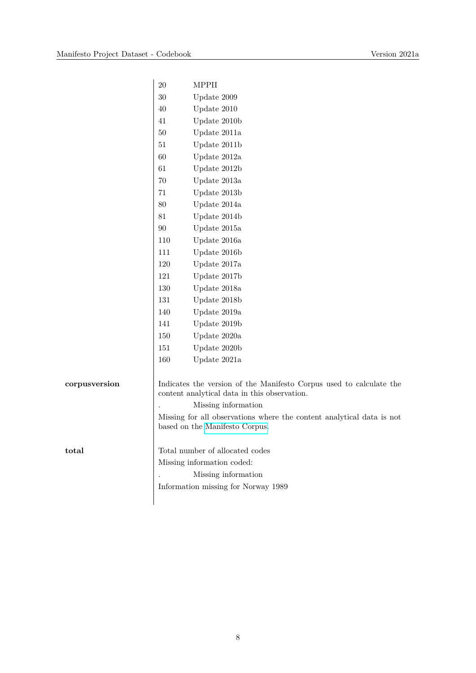|               | $20\,$ | <b>MPPII</b>                                                                                                        |
|---------------|--------|---------------------------------------------------------------------------------------------------------------------|
|               | $30\,$ | Update 2009                                                                                                         |
|               | 40     | Update 2010                                                                                                         |
|               | 41     | Update 2010b                                                                                                        |
|               | $50\,$ | Update 2011a                                                                                                        |
|               | $51\,$ | Update 2011b                                                                                                        |
|               | 60     | Update 2012a                                                                                                        |
|               | 61     | Update 2012b                                                                                                        |
|               | $70\,$ | Update 2013a                                                                                                        |
|               | 71     | Update 2013b                                                                                                        |
|               | 80     | Update 2014a                                                                                                        |
|               | 81     | Update 2014b                                                                                                        |
|               | $90\,$ | Update 2015a                                                                                                        |
|               | 110    | Update 2016a                                                                                                        |
|               | 111    | Update 2016b                                                                                                        |
|               | 120    | Update 2017a                                                                                                        |
|               | 121    | Update 2017b                                                                                                        |
|               | 130    | Update 2018a                                                                                                        |
|               | 131    | Update 2018b                                                                                                        |
|               | 140    | Update 2019a                                                                                                        |
|               | 141    | Update 2019b                                                                                                        |
|               | 150    | Update 2020a                                                                                                        |
|               | 151    | Update 2020b                                                                                                        |
|               | 160    | Update 2021a                                                                                                        |
| corpusversion |        | Indicates the version of the Manifesto Corpus used to calculate the<br>content analytical data in this observation. |
|               |        | Missing information                                                                                                 |
|               |        | Missing for all observations where the content analytical data is not<br>based on the Manifesto Corpus.             |
| total         |        | Total number of allocated codes                                                                                     |
|               |        | Missing information coded:                                                                                          |
|               |        | Missing information                                                                                                 |
|               |        | Information missing for Norway 1989                                                                                 |
|               |        |                                                                                                                     |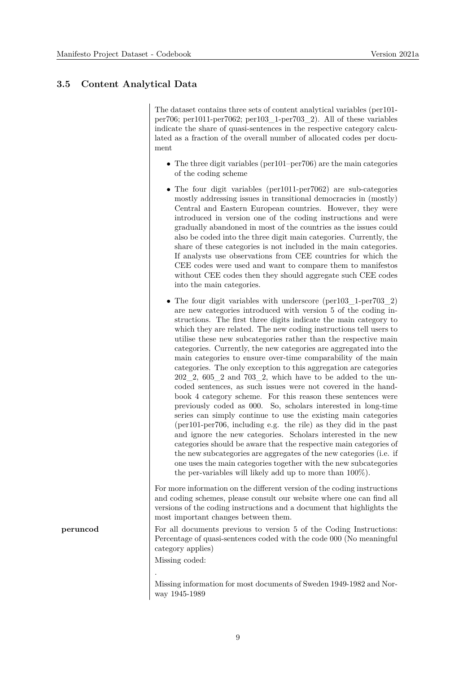#### **3.5 Content Analytical Data**

The dataset contains three sets of content analytical variables (per101 per706; per1011-per7062; per103\_1-per703\_2). All of these variables indicate the share of quasi-sentences in the respective category calculated as a fraction of the overall number of allocated codes per document

- The three digit variables (per101–per706) are the main categories of the coding scheme
- The four digit variables (per1011-per7062) are sub-categories mostly addressing issues in transitional democracies in (mostly) Central and Eastern European countries. However, they were introduced in version one of the coding instructions and were gradually abandoned in most of the countries as the issues could also be coded into the three digit main categories. Currently, the share of these categories is not included in the main categories. If analysts use observations from CEE countries for which the CEE codes were used and want to compare them to manifestos without CEE codes then they should aggregate such CEE codes into the main categories.
- The four digit variables with underscore (per103 1-per703 2) are new categories introduced with version 5 of the coding instructions. The first three digits indicate the main category to which they are related. The new coding instructions tell users to utilise these new subcategories rather than the respective main categories. Currently, the new categories are aggregated into the main categories to ensure over-time comparability of the main categories. The only exception to this aggregation are categories  $202\_2$ ,  $605\_2$  and  $703\_2$ , which have to be added to the uncoded sentences, as such issues were not covered in the handbook 4 category scheme. For this reason these sentences were previously coded as 000. So, scholars interested in long-time series can simply continue to use the existing main categories (per101-per706, including e.g. the rile) as they did in the past and ignore the new categories. Scholars interested in the new categories should be aware that the respective main categories of the new subcategories are aggregates of the new categories (i.e. if one uses the main categories together with the new subcategories the per-variables will likely add up to more than 100%).

For more information on the different version of the coding instructions and coding schemes, please consult our website where one can find all versions of the coding instructions and a document that highlights the most important changes between them.

**peruncod** For all documents previous to version 5 of the Coding Instructions: Percentage of quasi-sentences coded with the code 000 (No meaningful category applies)

Missing coded:

Missing information for most documents of Sweden 1949-1982 and Norway 1945-1989

. Missing data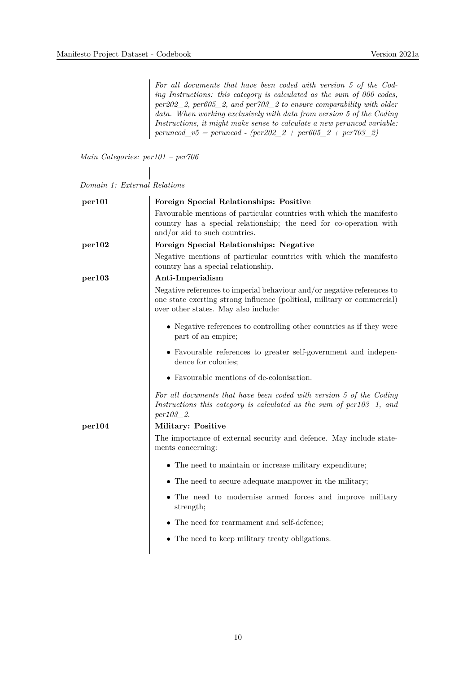*For all documents that have been coded with version 5 of the Coding Instructions: this category is calculated as the sum of 000 codes, per202\_2, per605\_2, and per703\_2 to ensure comparability with older data. When working exclusively with data from version 5 of the Coding Instructions, it might make sense to calculate a new peruncod variable: peruncod\_v5 = peruncod - (per202\_2 + per605\_2 + per703\_2)* 

*Main Categories: per101 – per706*

| Domain 1: External Relations |  |  |
|------------------------------|--|--|
|------------------------------|--|--|

| per101 | Foreign Special Relationships: Positive                                                                                                                                                    |
|--------|--------------------------------------------------------------------------------------------------------------------------------------------------------------------------------------------|
|        | Favourable mentions of particular countries with which the manifesto<br>country has a special relationship; the need for co-operation with<br>and/or aid to such countries.                |
| per102 | Foreign Special Relationships: Negative                                                                                                                                                    |
|        | Negative mentions of particular countries with which the manifesto<br>country has a special relationship.                                                                                  |
| per103 | Anti-Imperialism                                                                                                                                                                           |
|        | Negative references to imperial behaviour and/or negative references to<br>one state exerting strong influence (political, military or commercial)<br>over other states. May also include: |
|        | • Negative references to controlling other countries as if they were<br>part of an empire;                                                                                                 |
|        | • Favourable references to greater self-government and indepen-<br>dence for colonies;                                                                                                     |
|        | • Favourable mentions of de-colonisation.                                                                                                                                                  |
|        | For all documents that have been coded with version 5 of the Coding<br>Instructions this category is calculated as the sum of $per103\_1$ , and<br><i>per103</i> 2.                        |
| per104 | Military: Positive                                                                                                                                                                         |
|        | The importance of external security and defence. May include state-<br>ments concerning:                                                                                                   |
|        | $\bullet\,$ The need to maintain or increase military expenditure;                                                                                                                         |
|        | • The need to secure adequate manpower in the military;                                                                                                                                    |
|        | • The need to modernise armed forces and improve military<br>strength;                                                                                                                     |
|        | • The need for rearmament and self-defence;                                                                                                                                                |
|        | • The need to keep military treaty obligations.                                                                                                                                            |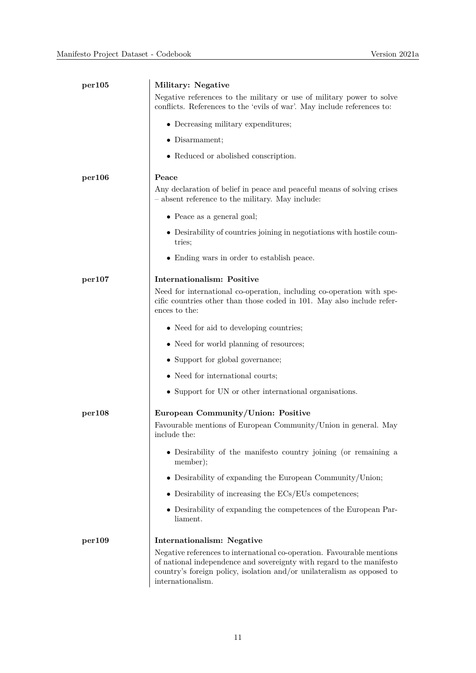| per105 | Military: Negative                                                                                                                                                                                                                             |
|--------|------------------------------------------------------------------------------------------------------------------------------------------------------------------------------------------------------------------------------------------------|
|        | Negative references to the military or use of military power to solve<br>conflicts. References to the 'evils of war'. May include references to:                                                                                               |
|        | • Decreasing military expenditures;                                                                                                                                                                                                            |
|        | • Disarmament;                                                                                                                                                                                                                                 |
|        | • Reduced or abolished conscription.                                                                                                                                                                                                           |
| per106 | Peace                                                                                                                                                                                                                                          |
|        | Any declaration of belief in peace and peaceful means of solving crises<br>- absent reference to the military. May include:                                                                                                                    |
|        | $\bullet$ Peace as a general goal;                                                                                                                                                                                                             |
|        | • Desirability of countries joining in negotiations with hostile coun-<br>tries;                                                                                                                                                               |
|        | • Ending wars in order to establish peace.                                                                                                                                                                                                     |
| per107 | <b>Internationalism: Positive</b>                                                                                                                                                                                                              |
|        | Need for international co-operation, including co-operation with spe-<br>cific countries other than those coded in 101. May also include refer-<br>ences to the:                                                                               |
|        | • Need for aid to developing countries;                                                                                                                                                                                                        |
|        | • Need for world planning of resources;                                                                                                                                                                                                        |
|        | • Support for global governance;                                                                                                                                                                                                               |
|        | • Need for international courts;                                                                                                                                                                                                               |
|        | • Support for UN or other international organisations.                                                                                                                                                                                         |
| per108 | European Community/Union: Positive<br>Favourable mentions of European Community/Union in general. May<br>include the:                                                                                                                          |
|        | • Desirability of the manifesto country joining (or remaining a<br>member);                                                                                                                                                                    |
|        | $\bullet$ Desirability of expanding the European Community/Union;                                                                                                                                                                              |
|        | $\bullet$ Desirability of increasing the ECs/EUs competences;                                                                                                                                                                                  |
|        | • Desirability of expanding the competences of the European Par-<br>liament.                                                                                                                                                                   |
| per109 | Internationalism: Negative                                                                                                                                                                                                                     |
|        | Negative references to international co-operation. Favourable mentions<br>of national independence and sovereignty with regard to the manifesto<br>country's foreign policy, isolation and/or unilateralism as opposed to<br>internationalism. |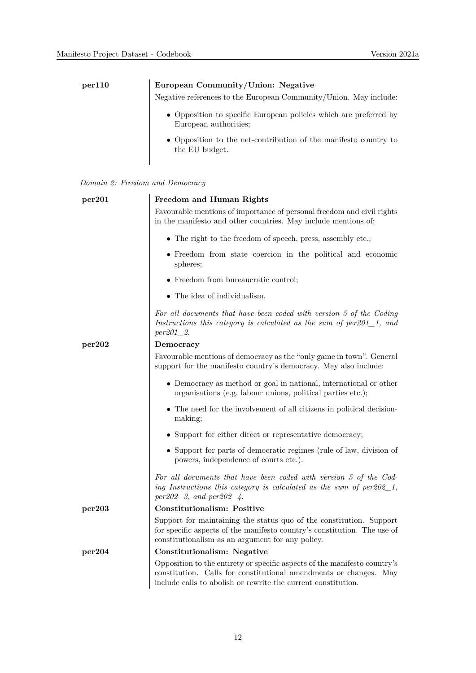| per110 | European Community/Union: Negative                                                         |
|--------|--------------------------------------------------------------------------------------------|
|        | Negative references to the European Community/Union. May include:                          |
|        | • Opposition to specific European policies which are preferred by<br>European authorities: |
|        | • Opposition to the net-contribution of the manifesto country to<br>the EU budget.         |

|  |  |  |  | Domain 2: Freedom and Democracy |
|--|--|--|--|---------------------------------|
|--|--|--|--|---------------------------------|

| per201 | Freedom and Human Rights                                                                                                                                                                                           |
|--------|--------------------------------------------------------------------------------------------------------------------------------------------------------------------------------------------------------------------|
|        | Favourable mentions of importance of personal freedom and civil rights<br>in the manifesto and other countries. May include mentions of:                                                                           |
|        | $\bullet$ The right to the freedom of speech, press, assembly etc.;                                                                                                                                                |
|        | • Freedom from state coercion in the political and economic<br>spheres;                                                                                                                                            |
|        | • Freedom from bureaucratic control;                                                                                                                                                                               |
|        | • The idea of individualism.                                                                                                                                                                                       |
|        | For all documents that have been coded with version 5 of the Coding<br>Instructions this category is calculated as the sum of $per201_1$ , and<br>$per201_{2}.$                                                    |
| per202 | Democracy                                                                                                                                                                                                          |
|        | Favourable mentions of democracy as the "only game in town". General<br>support for the manifesto country's democracy. May also include:                                                                           |
|        | • Democracy as method or goal in national, international or other<br>organisations (e.g. labour unions, political parties etc.);                                                                                   |
|        | • The need for the involvement of all citizens in political decision-<br>making;                                                                                                                                   |
|        | $\bullet\,$ Support for either direct or representative democracy;                                                                                                                                                 |
|        | • Support for parts of democratic regimes (rule of law, division of<br>powers, independence of courts etc.).                                                                                                       |
|        | For all documents that have been coded with version 5 of the Cod-<br>ing Instructions this category is calculated as the sum of $per202\_1$ ,<br>$per202\_3$ , and $per202\_4$ .                                   |
| per203 | <b>Constitutionalism: Positive</b>                                                                                                                                                                                 |
|        | Support for maintaining the status quo of the constitution. Support<br>for specific aspects of the manifesto country's constitution. The use of<br>constitutionalism as an argument for any policy.                |
| per204 | <b>Constitutionalism: Negative</b>                                                                                                                                                                                 |
|        | Opposition to the entirety or specific aspects of the manifesto country's<br>constitution. Calls for constitutional amendments or changes.<br>May<br>include calls to abolish or rewrite the current constitution. |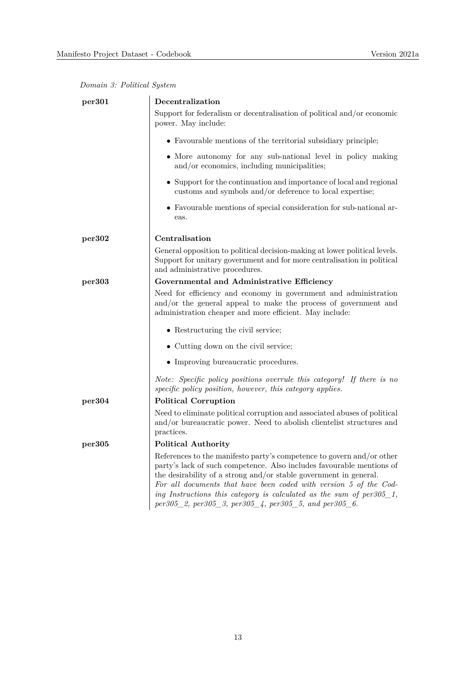|  |  | Domain 3: Political System |  |
|--|--|----------------------------|--|
|--|--|----------------------------|--|

| per301 | Decentralization                                                                                                                                                                                                                                                                                                                                                                                                              |
|--------|-------------------------------------------------------------------------------------------------------------------------------------------------------------------------------------------------------------------------------------------------------------------------------------------------------------------------------------------------------------------------------------------------------------------------------|
|        | Support for federalism or decentralisation of political and/or economic<br>power. May include:                                                                                                                                                                                                                                                                                                                                |
|        | • Favourable mentions of the territorial subsidiary principle;                                                                                                                                                                                                                                                                                                                                                                |
|        | • More autonomy for any sub-national level in policy making<br>and/or economics, including municipalities;                                                                                                                                                                                                                                                                                                                    |
|        | • Support for the continuation and importance of local and regional<br>customs and symbols and/or deference to local expertise;                                                                                                                                                                                                                                                                                               |
|        | • Favourable mentions of special consideration for sub-national ar-<br>eas.                                                                                                                                                                                                                                                                                                                                                   |
| per302 | Centralisation                                                                                                                                                                                                                                                                                                                                                                                                                |
|        | General opposition to political decision-making at lower political levels.<br>Support for unitary government and for more centralisation in political<br>and administrative procedures.                                                                                                                                                                                                                                       |
| per303 | Governmental and Administrative Efficiency                                                                                                                                                                                                                                                                                                                                                                                    |
|        | Need for efficiency and economy in government and administration<br>and/or the general appeal to make the process of government and<br>administration cheaper and more efficient. May include:                                                                                                                                                                                                                                |
|        | • Restructuring the civil service;                                                                                                                                                                                                                                                                                                                                                                                            |
|        | • Cutting down on the civil service;                                                                                                                                                                                                                                                                                                                                                                                          |
|        | • Improving bureaucratic procedures.                                                                                                                                                                                                                                                                                                                                                                                          |
|        | Note: Specific policy positions overrule this category! If there is no<br>specific policy position, however, this category applies.                                                                                                                                                                                                                                                                                           |
| per304 | <b>Political Corruption</b>                                                                                                                                                                                                                                                                                                                                                                                                   |
|        | Need to eliminate political corruption and associated abuses of political<br>and/or bureaucratic power. Need to abolish clientelist structures and<br>practices.                                                                                                                                                                                                                                                              |
| per305 | Political Authority                                                                                                                                                                                                                                                                                                                                                                                                           |
|        | References to the manifesto party's competence to govern and/or other<br>party's lack of such competence. Also includes favourable mentions of<br>the desirability of a strong and/or stable government in general.<br>For all documents that have been coded with version 5 of the Cod-<br>ing Instructions this category is calculated as the sum of $per305\_1$ ,<br>per305_2, per305_3, per305_4, per305_5, and per305_6. |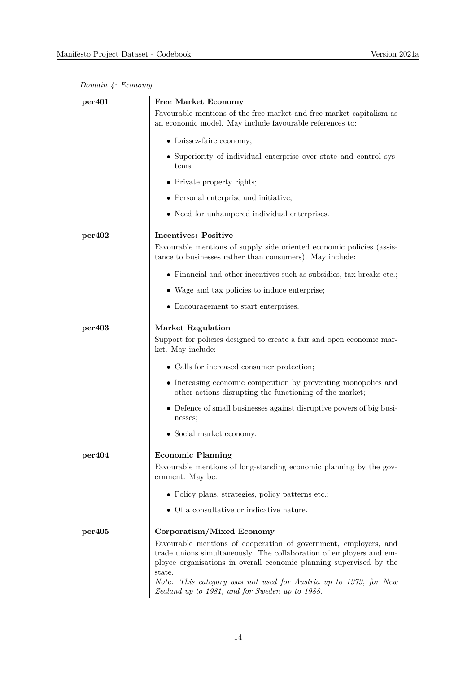|  |  | Domain 4: Economy |
|--|--|-------------------|
|--|--|-------------------|

| per <sub>401</sub> | <b>Free Market Economy</b>                                                                                                                                                                                               |
|--------------------|--------------------------------------------------------------------------------------------------------------------------------------------------------------------------------------------------------------------------|
|                    | Favourable mentions of the free market and free market capitalism as<br>an economic model. May include favourable references to:                                                                                         |
|                    | • Laissez-faire economy;                                                                                                                                                                                                 |
|                    | • Superiority of individual enterprise over state and control sys-<br>tems;                                                                                                                                              |
|                    | • Private property rights;                                                                                                                                                                                               |
|                    | • Personal enterprise and initiative;                                                                                                                                                                                    |
|                    | • Need for unhampered individual enterprises.                                                                                                                                                                            |
| per402             | <b>Incentives: Positive</b>                                                                                                                                                                                              |
|                    | Favourable mentions of supply side oriented economic policies (assis-<br>tance to businesses rather than consumers). May include:                                                                                        |
|                    | $\bullet$ Financial and other incentives such as subsidies, tax breaks etc.;                                                                                                                                             |
|                    | • Wage and tax policies to induce enterprise;                                                                                                                                                                            |
|                    | • Encouragement to start enterprises.                                                                                                                                                                                    |
| per403             | <b>Market Regulation</b><br>Support for policies designed to create a fair and open economic mar-<br>ket. May include:                                                                                                   |
|                    | • Calls for increased consumer protection;                                                                                                                                                                               |
|                    | • Increasing economic competition by preventing monopolies and<br>other actions disrupting the functioning of the market;                                                                                                |
|                    | • Defence of small businesses against disruptive powers of big busi-<br>nesses;                                                                                                                                          |
|                    | • Social market economy.                                                                                                                                                                                                 |
| per404             | <b>Economic Planning</b>                                                                                                                                                                                                 |
|                    | Favourable mentions of long-standing economic planning by the gov-<br>ernment. May be:                                                                                                                                   |
|                    | • Policy plans, strategies, policy patterns etc.;                                                                                                                                                                        |
|                    | • Of a consultative or indicative nature.                                                                                                                                                                                |
| per405             | Corporatism/Mixed Economy                                                                                                                                                                                                |
|                    | Favourable mentions of cooperation of government, employers, and<br>trade unions simultaneously. The collaboration of employers and em-<br>ployee organisations in overall economic planning supervised by the<br>state. |
|                    | Note:<br>This category was not used for Austria up to 1979, for New<br>Zealand up to 1981, and for Sweden up to 1988.                                                                                                    |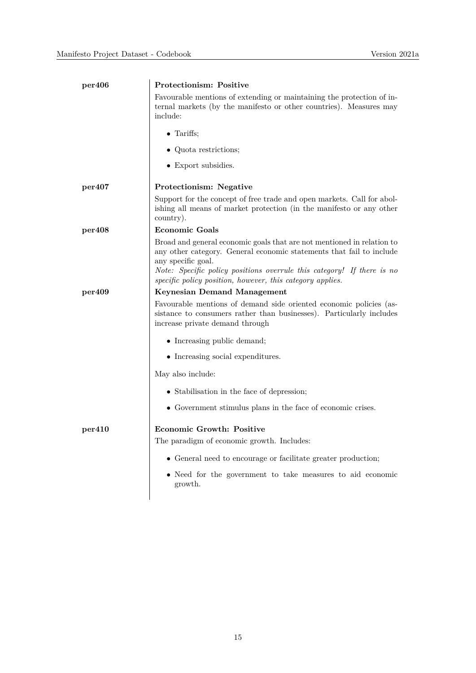| per406             | Protectionism: Positive                                                                                                                                                                                                                                                                                     |
|--------------------|-------------------------------------------------------------------------------------------------------------------------------------------------------------------------------------------------------------------------------------------------------------------------------------------------------------|
|                    | Favourable mentions of extending or maintaining the protection of in-<br>ternal markets (by the manifesto or other countries). Measures may<br>include:                                                                                                                                                     |
|                    | $\bullet$ Tariffs;                                                                                                                                                                                                                                                                                          |
|                    | • Quota restrictions;                                                                                                                                                                                                                                                                                       |
|                    | • Export subsidies.                                                                                                                                                                                                                                                                                         |
| per407             | Protectionism: Negative                                                                                                                                                                                                                                                                                     |
|                    | Support for the concept of free trade and open markets. Call for abol-<br>ishing all means of market protection (in the manifesto or any other<br>country).                                                                                                                                                 |
| per408             | <b>Economic Goals</b>                                                                                                                                                                                                                                                                                       |
|                    | Broad and general economic goals that are not mentioned in relation to<br>any other category. General economic statements that fail to include<br>any specific goal.<br>Note: Specific policy positions overrule this category! If there is no<br>specific policy position, however, this category applies. |
| per <sub>409</sub> | <b>Keynesian Demand Management</b>                                                                                                                                                                                                                                                                          |
|                    | Favourable mentions of demand side oriented economic policies (as-<br>sistance to consumers rather than businesses). Particularly includes<br>increase private demand through                                                                                                                               |
|                    | • Increasing public demand;                                                                                                                                                                                                                                                                                 |
|                    | • Increasing social expenditures.                                                                                                                                                                                                                                                                           |
|                    | May also include:                                                                                                                                                                                                                                                                                           |
|                    | • Stabilisation in the face of depression;                                                                                                                                                                                                                                                                  |
|                    | • Government stimulus plans in the face of economic crises.                                                                                                                                                                                                                                                 |
| per410             | <b>Economic Growth: Positive</b>                                                                                                                                                                                                                                                                            |
|                    | The paradigm of economic growth. Includes:                                                                                                                                                                                                                                                                  |
|                    | • General need to encourage or facilitate greater production;                                                                                                                                                                                                                                               |
|                    | • Need for the government to take measures to aid economic<br>growth.                                                                                                                                                                                                                                       |
|                    |                                                                                                                                                                                                                                                                                                             |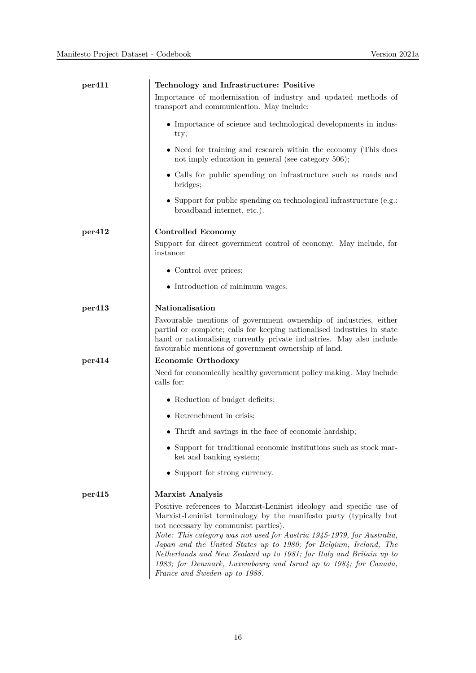| per411 | Technology and Infrastructure: Positive                                                                                                                                                                                                                                                                                                                                                                                                                                                                       |
|--------|---------------------------------------------------------------------------------------------------------------------------------------------------------------------------------------------------------------------------------------------------------------------------------------------------------------------------------------------------------------------------------------------------------------------------------------------------------------------------------------------------------------|
|        | Importance of modernisation of industry and updated methods of<br>transport and communication. May include:                                                                                                                                                                                                                                                                                                                                                                                                   |
|        | • Importance of science and technological developments in indus-<br>try;                                                                                                                                                                                                                                                                                                                                                                                                                                      |
|        | • Need for training and research within the economy (This does<br>not imply education in general (see category 506);                                                                                                                                                                                                                                                                                                                                                                                          |
|        | • Calls for public spending on infrastructure such as roads and<br>bridges;                                                                                                                                                                                                                                                                                                                                                                                                                                   |
|        | • Support for public spending on technological infrastructure (e.g.:<br>broadband internet, etc.).                                                                                                                                                                                                                                                                                                                                                                                                            |
| per412 | <b>Controlled Economy</b>                                                                                                                                                                                                                                                                                                                                                                                                                                                                                     |
|        | Support for direct government control of economy. May include, for<br>instance:                                                                                                                                                                                                                                                                                                                                                                                                                               |
|        | • Control over prices;                                                                                                                                                                                                                                                                                                                                                                                                                                                                                        |
|        | • Introduction of minimum wages.                                                                                                                                                                                                                                                                                                                                                                                                                                                                              |
| per413 | Nationalisation                                                                                                                                                                                                                                                                                                                                                                                                                                                                                               |
|        | Favourable mentions of government ownership of industries, either<br>partial or complete; calls for keeping nationalised industries in state<br>hand or nationalising currently private industries. May also include<br>favourable mentions of government ownership of land.                                                                                                                                                                                                                                  |
| per414 | Economic Orthodoxy                                                                                                                                                                                                                                                                                                                                                                                                                                                                                            |
|        | Need for economically healthy government policy making. May include<br>calls for:                                                                                                                                                                                                                                                                                                                                                                                                                             |
|        | • Reduction of budget deficits;                                                                                                                                                                                                                                                                                                                                                                                                                                                                               |
|        | $\bullet$ Retrenchment in crisis;                                                                                                                                                                                                                                                                                                                                                                                                                                                                             |
|        | • Thrift and savings in the face of economic hardship;                                                                                                                                                                                                                                                                                                                                                                                                                                                        |
|        | • Support for traditional economic institutions such as stock mar-<br>ket and banking system;                                                                                                                                                                                                                                                                                                                                                                                                                 |
|        | • Support for strong currency.                                                                                                                                                                                                                                                                                                                                                                                                                                                                                |
| per415 | <b>Marxist Analysis</b>                                                                                                                                                                                                                                                                                                                                                                                                                                                                                       |
|        | Positive references to Marxist-Leninist ideology and specific use of<br>Marxist-Leninist terminology by the manifesto party (typically but<br>not necessary by communist parties).<br>Note: This category was not used for Austria 1945-1979, for Australia,<br>Japan and the United States up to 1980; for Belgium, Ireland, The<br>Netherlands and New Zealand up to 1981; for Italy and Britain up to<br>1983; for Denmark, Luxembourg and Israel up to 1984; for Canada,<br>France and Sweden up to 1988. |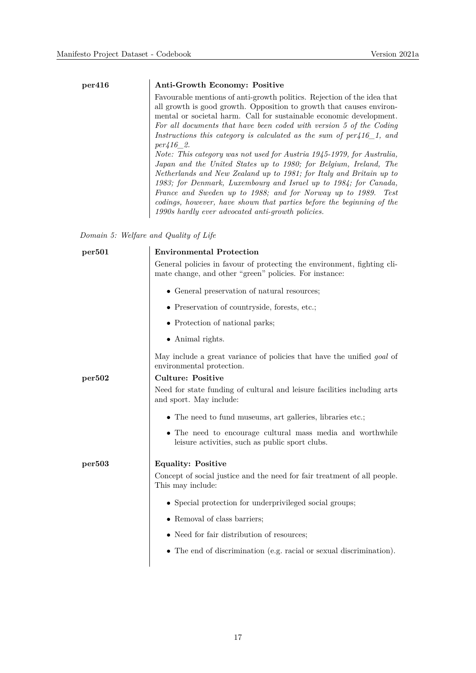#### **per416 Anti-Growth Economy: Positive**

Favourable mentions of anti-growth politics. Rejection of the idea that all growth is good growth. Opposition to growth that causes environmental or societal harm. Call for sustainable economic development. *For all documents that have been coded with version 5 of the Coding Instructions this category is calculated as the sum of per416\_1, and per416\_2.*

*Note: This category was not used for Austria 1945-1979, for Australia, Japan and the United States up to 1980; for Belgium, Ireland, The Netherlands and New Zealand up to 1981; for Italy and Britain up to 1983; for Denmark, Luxembourg and Israel up to 1984; for Canada, France and Sweden up to 1988; and for Norway up to 1989. Test codings, however, have shown that parties before the beginning of the 1990s hardly ever advocated anti-growth policies.*

*Domain 5: Welfare and Quality of Life*

| General policies in favour of protecting the environment, fighting cli-       |
|-------------------------------------------------------------------------------|
|                                                                               |
|                                                                               |
|                                                                               |
|                                                                               |
|                                                                               |
| May include a great variance of policies that have the unified <i>goal</i> of |
|                                                                               |
| Need for state funding of cultural and leisure facilities including arts      |
|                                                                               |
| • The need to encourage cultural mass media and worthwhile                    |
|                                                                               |
| Concept of social justice and the need for fair treatment of all people.      |
|                                                                               |
|                                                                               |
|                                                                               |
| $\bullet$ The end of discrimination (e.g. racial or sexual discrimination).   |
|                                                                               |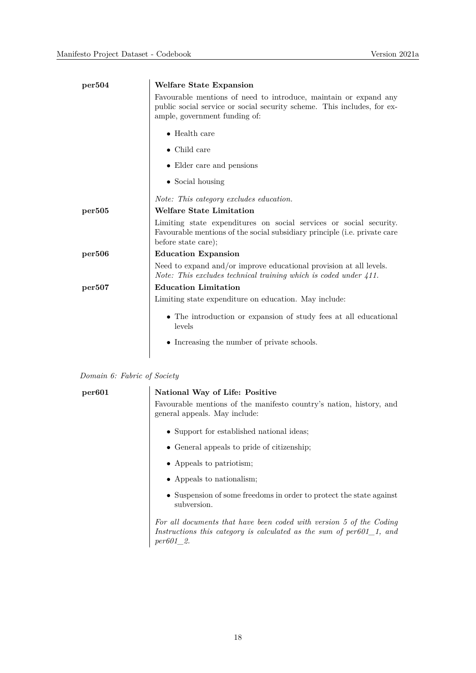| per504 | Welfare State Expansion                                                                                                                                                      |
|--------|------------------------------------------------------------------------------------------------------------------------------------------------------------------------------|
|        | Favourable mentions of need to introduce, maintain or expand any<br>public social service or social security scheme. This includes, for ex-<br>ample, government funding of: |
|        | $\bullet$ Health care                                                                                                                                                        |
|        | $\bullet$ Child care                                                                                                                                                         |
|        | • Elder care and pensions                                                                                                                                                    |
|        | $\bullet$ Social housing                                                                                                                                                     |
|        | Note: This category excludes education.                                                                                                                                      |
| per505 | <b>Welfare State Limitation</b>                                                                                                                                              |
|        | Limiting state expenditures on social services or social security.<br>Favourable mentions of the social subsidiary principle (i.e. private care<br>before state care);       |
| per506 | <b>Education Expansion</b>                                                                                                                                                   |
|        | Need to expand and/or improve educational provision at all levels.<br>Note: This excludes technical training which is coded under 411.                                       |
| per507 | <b>Education Limitation</b>                                                                                                                                                  |
|        | Limiting state expenditure on education. May include:                                                                                                                        |
|        | • The introduction or expansion of study fees at all educational<br>levels                                                                                                   |
|        | • Increasing the number of private schools.                                                                                                                                  |
|        |                                                                                                                                                                              |

| Domain 6: Fabric of Society |  |  |  |  |
|-----------------------------|--|--|--|--|
|-----------------------------|--|--|--|--|

| per601 | National Way of Life: Positive                                                                                                                                      |
|--------|---------------------------------------------------------------------------------------------------------------------------------------------------------------------|
|        | Favourable mentions of the manifesto country's nation, history, and<br>general appeals. May include:                                                                |
|        | • Support for established national ideas;                                                                                                                           |
|        | • General appeals to pride of citizenship;                                                                                                                          |
|        | • Appeals to patriotism;                                                                                                                                            |
|        | • Appeals to nationalism;                                                                                                                                           |
|        | • Suspension of some freedoms in order to protect the state against<br>subversion.                                                                                  |
|        | For all documents that have been coded with version 5 of the Coding<br>Instructions this category is calculated as the sum of $per601\_1$ , and<br><i>per601</i> 2. |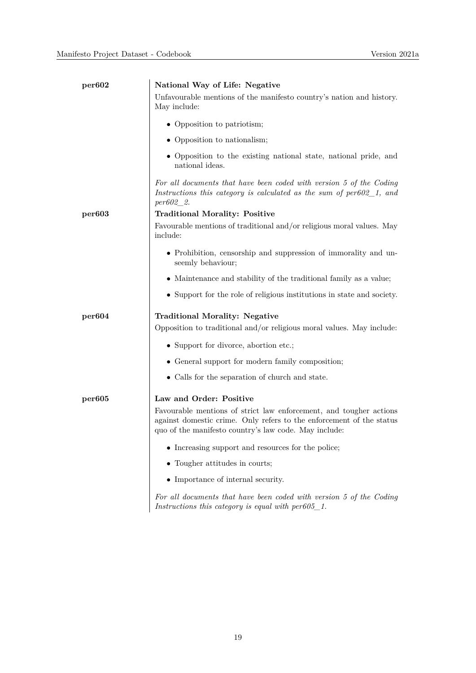| per602             | National Way of Life: Negative                                                                                                                                                                      |
|--------------------|-----------------------------------------------------------------------------------------------------------------------------------------------------------------------------------------------------|
|                    | Unfavourable mentions of the manifesto country's nation and history.<br>May include:                                                                                                                |
|                    | • Opposition to patriotism;                                                                                                                                                                         |
|                    | • Opposition to nationalism;                                                                                                                                                                        |
|                    | • Opposition to the existing national state, national pride, and<br>national ideas.                                                                                                                 |
|                    | For all documents that have been coded with version 5 of the Coding<br>Instructions this category is calculated as the sum of $per602\_1$ , and<br>$per602\_2.$                                     |
| per <sub>603</sub> | <b>Traditional Morality: Positive</b>                                                                                                                                                               |
|                    | Favourable mentions of traditional and/or religious moral values. May<br>include:                                                                                                                   |
|                    | • Prohibition, censorship and suppression of immorality and un-<br>seemly behaviour;                                                                                                                |
|                    | • Maintenance and stability of the traditional family as a value;                                                                                                                                   |
|                    | • Support for the role of religious institutions in state and society.                                                                                                                              |
| per604             | <b>Traditional Morality: Negative</b>                                                                                                                                                               |
|                    | Opposition to traditional and/or religious moral values. May include:                                                                                                                               |
|                    | • Support for divorce, abortion etc.;                                                                                                                                                               |
|                    | • General support for modern family composition;                                                                                                                                                    |
|                    | • Calls for the separation of church and state.                                                                                                                                                     |
| per605             | Law and Order: Positive                                                                                                                                                                             |
|                    | Favourable mentions of strict law enforcement, and tougher actions<br>against domestic crime. Only refers to the enforcement of the status<br>quo of the manifesto country's law code. May include: |
|                    | $\bullet\,$ Increasing support and resources for the police;                                                                                                                                        |
|                    | • Tougher attitudes in courts;                                                                                                                                                                      |
|                    | • Importance of internal security.                                                                                                                                                                  |
|                    | For all documents that have been coded with version 5 of the Coding                                                                                                                                 |

*Instructions this category is equal with per605\_1.*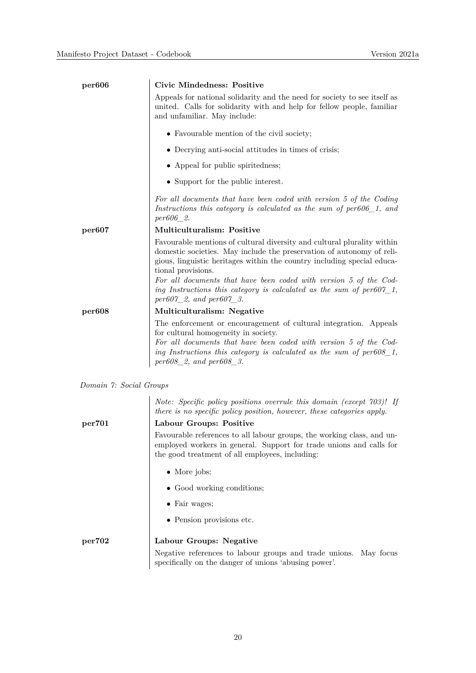| <b>Civic Mindedness: Positive</b>                                                                                                                                                                                                                                                                                      |
|------------------------------------------------------------------------------------------------------------------------------------------------------------------------------------------------------------------------------------------------------------------------------------------------------------------------|
| Appeals for national solidarity and the need for society to see itself as<br>united. Calls for solidarity with and help for fellow people, familiar<br>and unfamiliar. May include:                                                                                                                                    |
| • Favourable mention of the civil society;                                                                                                                                                                                                                                                                             |
| • Decrying anti-social attitudes in times of crisis;                                                                                                                                                                                                                                                                   |
| • Appeal for public spiritedness;                                                                                                                                                                                                                                                                                      |
| • Support for the public interest.                                                                                                                                                                                                                                                                                     |
| For all documents that have been coded with version 5 of the Coding<br>Instructions this category is calculated as the sum of $per606\_1$ , and<br>per606 2.                                                                                                                                                           |
| <b>Multiculturalism: Positive</b>                                                                                                                                                                                                                                                                                      |
| Favourable mentions of cultural diversity and cultural plurality within<br>domestic societies. May include the preservation of autonomy of reli-<br>gious, linguistic heritages within the country including special educa-<br>tional provisions.<br>For all documents that have been coded with version 5 of the Cod- |
| ing Instructions this category is calculated as the sum of $per607\_1$ ,<br>$per607_2$ , and $per607_3$ .                                                                                                                                                                                                              |
| Multiculturalism: Negative                                                                                                                                                                                                                                                                                             |
| The enforcement or encouragement of cultural integration. Appeals<br>for cultural homogeneity in society.<br>For all documents that have been coded with version 5 of the Cod-<br>ing Instructions this category is calculated as the sum of $per608-1$ ,<br>$per608\_2$ , and $per608\_3$ .                           |
|                                                                                                                                                                                                                                                                                                                        |

*Domain 7: Social Groups*

*Note: Specific policy positions overrule this domain (except 703)! If there is no specific policy position, however, these categories apply.*

### **per701 Labour Groups: Positive**

Favourable references to all labour groups, the working class, and unemployed workers in general. Support for trade unions and calls for the good treatment of all employees, including:

- More jobs;
- Good working conditions;
- Fair wages;
- Pension provisions etc.

#### **per702 Labour Groups: Negative** Negative references to labour groups and trade unions. May focus specifically on the danger of unions 'abusing power'.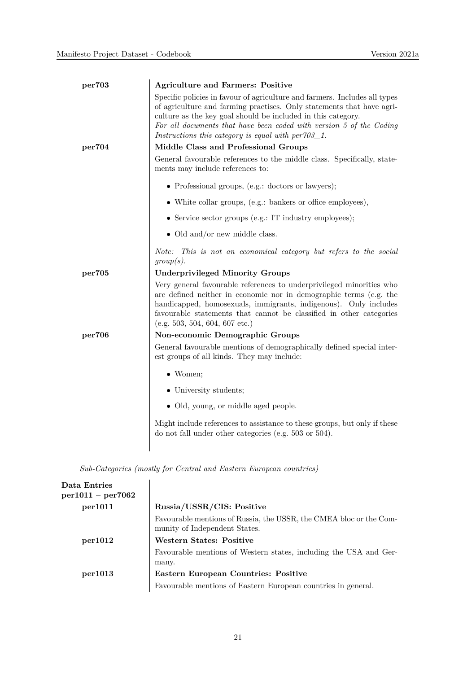| per703 | <b>Agriculture and Farmers: Positive</b>                                                                                                                                                                                                                                                                                                             |
|--------|------------------------------------------------------------------------------------------------------------------------------------------------------------------------------------------------------------------------------------------------------------------------------------------------------------------------------------------------------|
|        | Specific policies in favour of agriculture and farmers. Includes all types<br>of agriculture and farming practises. Only statements that have agri-<br>culture as the key goal should be included in this category.<br>For all documents that have been coded with version 5 of the Coding<br>Instructions this category is equal with $per703\_1$ . |
| per704 | Middle Class and Professional Groups                                                                                                                                                                                                                                                                                                                 |
|        | General favourable references to the middle class. Specifically, state-<br>ments may include references to:                                                                                                                                                                                                                                          |
|        | • Professional groups, (e.g.: doctors or lawyers);                                                                                                                                                                                                                                                                                                   |
|        | • White collar groups, (e.g.: bankers or office employees),                                                                                                                                                                                                                                                                                          |
|        | • Service sector groups (e.g.: IT industry employees);                                                                                                                                                                                                                                                                                               |
|        | • Old and/or new middle class.                                                                                                                                                                                                                                                                                                                       |
|        | Note: This is not an economical category but refers to the social<br>group(s).                                                                                                                                                                                                                                                                       |
| per705 | <b>Underprivileged Minority Groups</b>                                                                                                                                                                                                                                                                                                               |
|        | Very general favourable references to underprivileged minorities who<br>are defined neither in economic nor in demographic terms (e.g. the<br>handicapped, homosexuals, immigrants, indigenous). Only includes<br>favourable statements that cannot be classified in other categories<br>(e.g. 503, 504, 604, 607 etc.)                              |
| per706 | Non-economic Demographic Groups                                                                                                                                                                                                                                                                                                                      |
|        | General favourable mentions of demographically defined special inter-<br>est groups of all kinds. They may include:                                                                                                                                                                                                                                  |
|        | $\bullet$ Women;                                                                                                                                                                                                                                                                                                                                     |
|        | • University students;                                                                                                                                                                                                                                                                                                                               |
|        | • Old, young, or middle aged people.                                                                                                                                                                                                                                                                                                                 |
|        | Might include references to assistance to these groups, but only if these<br>do not fall under other categories (e.g. $503$ or $504$ ).                                                                                                                                                                                                              |
|        |                                                                                                                                                                                                                                                                                                                                                      |

*Sub-Categories (mostly for Central and Eastern European countries)*

| Data Entries<br>$per1011 - per7062$ |                                                                                                     |
|-------------------------------------|-----------------------------------------------------------------------------------------------------|
| per1011                             | Russia/USSR/CIS: Positive                                                                           |
|                                     | Favourable mentions of Russia, the USSR, the CMEA bloc or the Com-<br>munity of Independent States. |
| per1012                             | <b>Western States: Positive</b>                                                                     |
|                                     | Favourable mentions of Western states, including the USA and Ger-<br>many.                          |
| per1013                             | Eastern European Countries: Positive                                                                |
|                                     | Favourable mentions of Eastern European countries in general.                                       |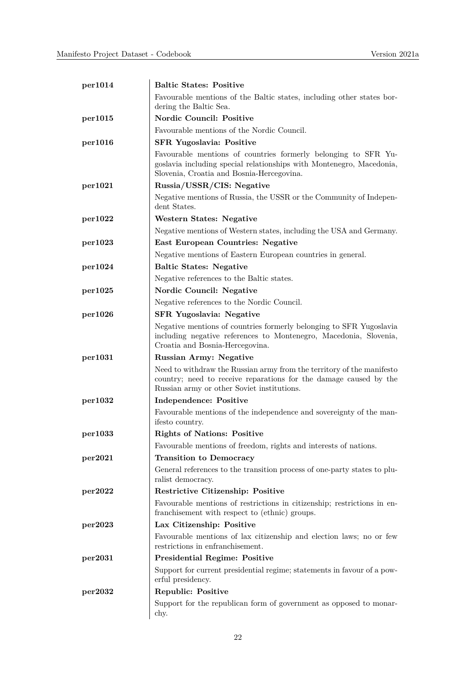| per1014 | <b>Baltic States: Positive</b>                                                                                                                                                           |
|---------|------------------------------------------------------------------------------------------------------------------------------------------------------------------------------------------|
|         | Favourable mentions of the Baltic states, including other states bor-<br>dering the Baltic Sea.                                                                                          |
| per1015 | <b>Nordic Council: Positive</b>                                                                                                                                                          |
|         | Favourable mentions of the Nordic Council.                                                                                                                                               |
| per1016 | <b>SFR Yugoslavia: Positive</b>                                                                                                                                                          |
|         | Favourable mentions of countries formerly belonging to SFR Yu-<br>goslavia including special relationships with Montenegro, Macedonia,<br>Slovenia, Croatia and Bosnia-Hercegovina.      |
| per1021 | Russia/USSR/CIS: Negative                                                                                                                                                                |
|         | Negative mentions of Russia, the USSR or the Community of Indepen-<br>dent States.                                                                                                       |
| per1022 | <b>Western States: Negative</b>                                                                                                                                                          |
|         | Negative mentions of Western states, including the USA and Germany.                                                                                                                      |
| per1023 | <b>East European Countries: Negative</b>                                                                                                                                                 |
|         | Negative mentions of Eastern European countries in general.                                                                                                                              |
| per1024 | <b>Baltic States: Negative</b>                                                                                                                                                           |
|         | Negative references to the Baltic states.                                                                                                                                                |
| per1025 | Nordic Council: Negative                                                                                                                                                                 |
|         | Negative references to the Nordic Council.                                                                                                                                               |
| per1026 | <b>SFR Yugoslavia: Negative</b>                                                                                                                                                          |
|         | Negative mentions of countries formerly belonging to SFR Yugoslavia<br>including negative references to Montenegro, Macedonia, Slovenia,<br>Croatia and Bosnia-Hercegovina.              |
| per1031 | <b>Russian Army: Negative</b>                                                                                                                                                            |
|         | Need to withdraw the Russian army from the territory of the manifesto<br>country; need to receive reparations for the damage caused by the<br>Russian army or other Soviet institutions. |
| per1032 | <b>Independence: Positive</b>                                                                                                                                                            |
|         | Favourable mentions of the independence and sovereignty of the man-<br>ifesto country.                                                                                                   |
| per1033 | <b>Rights of Nations: Positive</b>                                                                                                                                                       |
|         | Favourable mentions of freedom, rights and interests of nations.                                                                                                                         |
| per2021 | <b>Transition to Democracy</b>                                                                                                                                                           |
|         | General references to the transition process of one-party states to plu-<br>ralist democracy.                                                                                            |
| per2022 | Restrictive Citizenship: Positive                                                                                                                                                        |
|         | Favourable mentions of restrictions in citizenship; restrictions in en-<br>franchisement with respect to (ethnic) groups.                                                                |
| per2023 | Lax Citizenship: Positive                                                                                                                                                                |
|         | Favourable mentions of lax citizenship and election laws; no or few<br>restrictions in enfranchisement.                                                                                  |
| per2031 | <b>Presidential Regime: Positive</b>                                                                                                                                                     |
|         | Support for current presidential regime; statements in favour of a pow-<br>erful presidency.                                                                                             |
| per2032 | <b>Republic: Positive</b>                                                                                                                                                                |
|         | Support for the republican form of government as opposed to monar-<br>chy.                                                                                                               |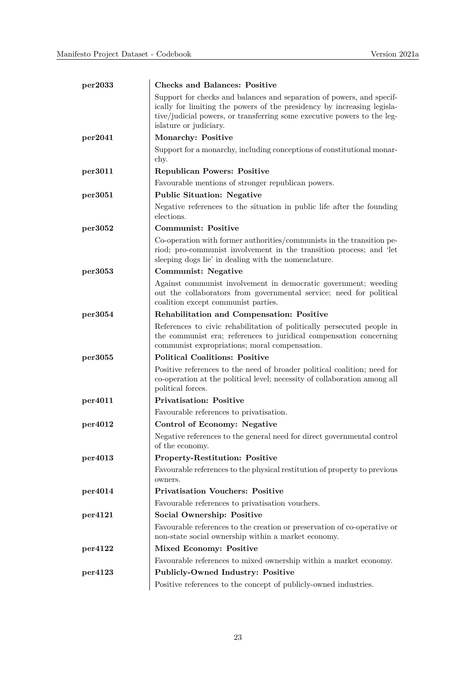| per2033 | <b>Checks and Balances: Positive</b>                                                                                                                                                                                                                  |
|---------|-------------------------------------------------------------------------------------------------------------------------------------------------------------------------------------------------------------------------------------------------------|
|         | Support for checks and balances and separation of powers, and specif-<br>ically for limiting the powers of the presidency by increasing legisla-<br>tive/judicial powers, or transferring some executive powers to the leg-<br>islature or judiciary. |
| per2041 | Monarchy: Positive                                                                                                                                                                                                                                    |
|         | Support for a monarchy, including conceptions of constitutional monar-<br>chy.                                                                                                                                                                        |
| per3011 | <b>Republican Powers: Positive</b>                                                                                                                                                                                                                    |
|         | Favourable mentions of stronger republican powers.                                                                                                                                                                                                    |
| per3051 | <b>Public Situation: Negative</b>                                                                                                                                                                                                                     |
|         | Negative references to the situation in public life after the founding<br>elections.                                                                                                                                                                  |
| per3052 | <b>Communist: Positive</b>                                                                                                                                                                                                                            |
|         | Co-operation with former authorities/communists in the transition pe-<br>riod; pro-communist involvement in the transition process; and 'let<br>sleeping dogs lie' in dealing with the nomenclature.                                                  |
| per3053 | <b>Communist: Negative</b>                                                                                                                                                                                                                            |
|         | Against communist involvement in democratic government; weeding<br>out the collaborators from governmental service; need for political<br>coalition except communist parties.                                                                         |
| per3054 | <b>Rehabilitation and Compensation: Positive</b>                                                                                                                                                                                                      |
|         | References to civic rehabilitation of politically persecuted people in<br>the communist era; references to juridical compensation concerning<br>communist expropriations; moral compensation.                                                         |
| per3055 | <b>Political Coalitions: Positive</b>                                                                                                                                                                                                                 |
|         | Positive references to the need of broader political coalition; need for<br>co-operation at the political level; necessity of collaboration among all<br>political forces.                                                                            |
| per4011 | <b>Privatisation: Positive</b>                                                                                                                                                                                                                        |
|         | Favourable references to privatisation.                                                                                                                                                                                                               |
| per4012 | Control of Economy: Negative                                                                                                                                                                                                                          |
|         | Negative references to the general need for direct governmental control<br>of the economy.                                                                                                                                                            |
| per4013 | Property-Restitution: Positive                                                                                                                                                                                                                        |
|         | Favourable references to the physical restitution of property to previous<br>owners.                                                                                                                                                                  |
| per4014 | <b>Privatisation Vouchers: Positive</b>                                                                                                                                                                                                               |
|         | Favourable references to privatisation vouchers.                                                                                                                                                                                                      |
| per4121 | Social Ownership: Positive                                                                                                                                                                                                                            |
|         | Favourable references to the creation or preservation of co-operative or<br>non-state social ownership within a market economy.                                                                                                                       |
| per4122 | Mixed Economy: Positive                                                                                                                                                                                                                               |
|         | Favourable references to mixed ownership within a market economy.                                                                                                                                                                                     |
| per4123 | Publicly-Owned Industry: Positive                                                                                                                                                                                                                     |
|         | Positive references to the concept of publicly-owned industries.                                                                                                                                                                                      |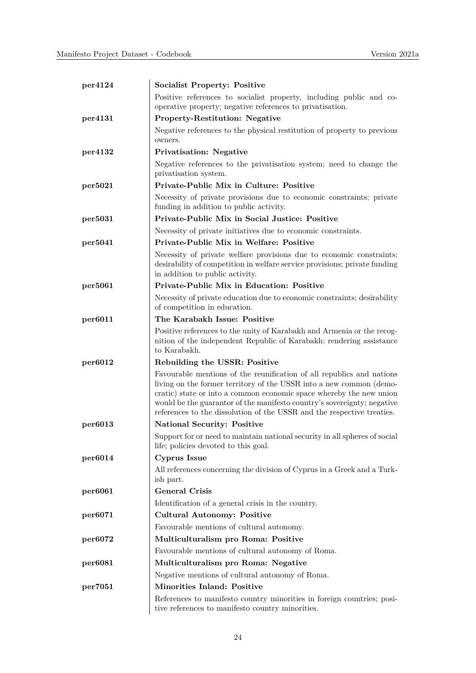| per4124 | <b>Socialist Property: Positive</b>                                                                                                                                                                                                                                                                                                                                      |
|---------|--------------------------------------------------------------------------------------------------------------------------------------------------------------------------------------------------------------------------------------------------------------------------------------------------------------------------------------------------------------------------|
|         | Positive references to socialist property, including public and co-                                                                                                                                                                                                                                                                                                      |
|         | operative property; negative references to privatisation.                                                                                                                                                                                                                                                                                                                |
| per4131 | <b>Property-Restitution: Negative</b>                                                                                                                                                                                                                                                                                                                                    |
|         | Negative references to the physical restitution of property to previous<br>owners.                                                                                                                                                                                                                                                                                       |
| per4132 | <b>Privatisation: Negative</b>                                                                                                                                                                                                                                                                                                                                           |
|         | Negative references to the privatisation system; need to change the<br>privatisation system.                                                                                                                                                                                                                                                                             |
| per5021 | Private-Public Mix in Culture: Positive                                                                                                                                                                                                                                                                                                                                  |
|         | Necessity of private provisions due to economic constraints; private<br>funding in addition to public activity.                                                                                                                                                                                                                                                          |
| per5031 | Private-Public Mix in Social Justice: Positive                                                                                                                                                                                                                                                                                                                           |
|         | Necessity of private initiatives due to economic constraints.                                                                                                                                                                                                                                                                                                            |
| per5041 | Private-Public Mix in Welfare: Positive                                                                                                                                                                                                                                                                                                                                  |
|         | Necessity of private welfare provisions due to economic constraints;<br>desirability of competition in welfare service provisions; private funding<br>in addition to public activity.                                                                                                                                                                                    |
| per5061 | <b>Private-Public Mix in Education: Positive</b>                                                                                                                                                                                                                                                                                                                         |
|         | Necessity of private education due to economic constraints; desirability<br>of competition in education.                                                                                                                                                                                                                                                                 |
| per6011 | The Karabakh Issue: Positive                                                                                                                                                                                                                                                                                                                                             |
|         | Positive references to the unity of Karabakh and Armenia or the recog-<br>nition of the independent Republic of Karabakh; rendering assistance<br>to Karabakh.                                                                                                                                                                                                           |
| per6012 | Rebuilding the USSR: Positive                                                                                                                                                                                                                                                                                                                                            |
|         | Favourable mentions of the reunification of all republics and nations<br>living on the former territory of the USSR into a new common (demo-<br>cratic) state or into a common economic space whereby the new union<br>would be the guarantor of the manifesto country's sovereignty; negative<br>references to the dissolution of the USSR and the respective treaties. |
| per6013 | <b>National Security: Positive</b>                                                                                                                                                                                                                                                                                                                                       |
|         | Support for or need to maintain national security in all spheres of social<br>life; policies devoted to this goal.                                                                                                                                                                                                                                                       |
| per6014 | Cyprus Issue                                                                                                                                                                                                                                                                                                                                                             |
|         | All references concerning the division of Cyprus in a Greek and a Turk-<br>ish part.                                                                                                                                                                                                                                                                                     |
| per6061 | <b>General Crisis</b>                                                                                                                                                                                                                                                                                                                                                    |
|         | Identification of a general crisis in the country.                                                                                                                                                                                                                                                                                                                       |
| per6071 | <b>Cultural Autonomy: Positive</b>                                                                                                                                                                                                                                                                                                                                       |
|         | Favourable mentions of cultural autonomy.                                                                                                                                                                                                                                                                                                                                |
| per6072 | Multiculturalism pro Roma: Positive                                                                                                                                                                                                                                                                                                                                      |
|         | Favourable mentions of cultural autonomy of Roma.                                                                                                                                                                                                                                                                                                                        |
| per6081 | Multiculturalism pro Roma: Negative                                                                                                                                                                                                                                                                                                                                      |
|         | Negative mentions of cultural autonomy of Roma.                                                                                                                                                                                                                                                                                                                          |
| per7051 | Minorities Inland: Positive                                                                                                                                                                                                                                                                                                                                              |
|         | References to manifesto country minorities in foreign countries; posi-<br>tive references to manifesto country minorities.                                                                                                                                                                                                                                               |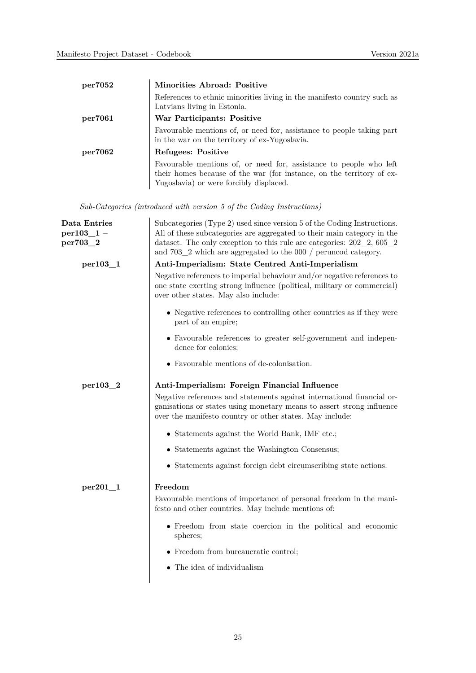| per7052 | Minorities Abroad: Positive                                                                                                                                                            |
|---------|----------------------------------------------------------------------------------------------------------------------------------------------------------------------------------------|
|         | References to ethnic minorities living in the manifesto country such as<br>Latvians living in Estonia.                                                                                 |
| per7061 | War Participants: Positive                                                                                                                                                             |
|         | Favourable mentions of, or need for, assistance to people taking part<br>in the war on the territory of ex-Yugoslavia.                                                                 |
| per7062 | Refugees: Positive                                                                                                                                                                     |
|         | Favourable mentions of, or need for, assistance to people who left<br>their homes because of the war (for instance, on the territory of ex-<br>Yugoslavia) or were forcibly displaced. |

*Sub-Categories (introduced with version 5 of the Coding Instructions)*

| Data Entries  | Subcategories (Type 2) used since version 5 of the Coding Instructions.                                                                                                                                     |
|---------------|-------------------------------------------------------------------------------------------------------------------------------------------------------------------------------------------------------------|
| $per103\_1$ – | All of these subcategories are aggregated to their main category in the                                                                                                                                     |
| per703_2      | dataset. The only exception to this rule are categories: $202-2$ , $605-2$<br>and $703\_2$ which are aggregated to the 000 / peruncod category.                                                             |
| per 103 1     | Anti-Imperialism: State Centred Anti-Imperialism                                                                                                                                                            |
|               | Negative references to imperial behaviour and/or negative references to<br>one state exerting strong influence (political, military or commercial)<br>over other states. May also include:                  |
|               | • Negative references to controlling other countries as if they were<br>part of an empire;                                                                                                                  |
|               | • Favourable references to greater self-government and indepen-<br>dence for colonies;                                                                                                                      |
|               | • Favourable mentions of de-colonisation.                                                                                                                                                                   |
| per103_2      | Anti-Imperialism: Foreign Financial Influence                                                                                                                                                               |
|               | Negative references and statements against international financial or-<br>ganisations or states using monetary means to assert strong influence<br>over the manifesto country or other states. May include: |
|               | • Statements against the World Bank, IMF etc.;                                                                                                                                                              |
|               | • Statements against the Washington Consensus;                                                                                                                                                              |
|               | • Statements against foreign debt circumscribing state actions.                                                                                                                                             |
| $per201-1$    | Freedom                                                                                                                                                                                                     |
|               | Favourable mentions of importance of personal freedom in the mani-<br>festo and other countries. May include mentions of:                                                                                   |
|               | • Freedom from state coercion in the political and economic<br>spheres;                                                                                                                                     |
|               | • Freedom from bureaucratic control;                                                                                                                                                                        |
|               | $\bullet$ The idea of individualism                                                                                                                                                                         |
|               |                                                                                                                                                                                                             |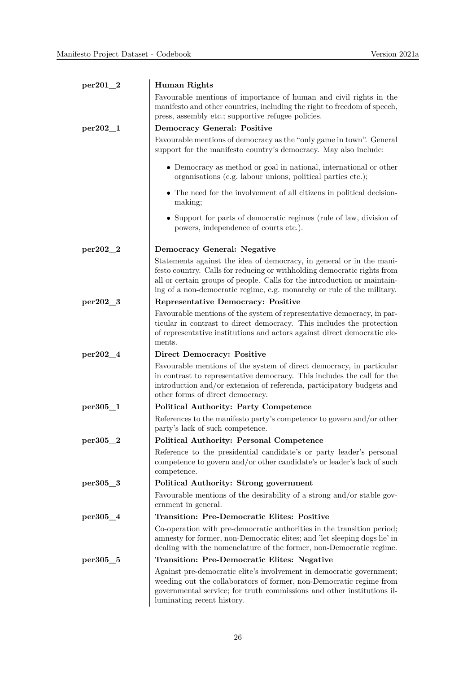| $per201_2$   | Human Rights                                                                                                                                                                                                                                                                                          |
|--------------|-------------------------------------------------------------------------------------------------------------------------------------------------------------------------------------------------------------------------------------------------------------------------------------------------------|
|              | Favourable mentions of importance of human and civil rights in the<br>manifesto and other countries, including the right to freedom of speech,<br>press, assembly etc.; supportive refugee policies.                                                                                                  |
| $per202_{1}$ | <b>Democracy General: Positive</b>                                                                                                                                                                                                                                                                    |
|              | Favourable mentions of democracy as the "only game in town". General<br>support for the manifesto country's democracy. May also include:                                                                                                                                                              |
|              | • Democracy as method or goal in national, international or other<br>organisations (e.g. labour unions, political parties etc.);                                                                                                                                                                      |
|              | • The need for the involvement of all citizens in political decision-<br>making;                                                                                                                                                                                                                      |
|              | • Support for parts of democratic regimes (rule of law, division of<br>powers, independence of courts etc.).                                                                                                                                                                                          |
| $per202 - 2$ | Democracy General: Negative                                                                                                                                                                                                                                                                           |
|              | Statements against the idea of democracy, in general or in the mani-<br>festo country. Calls for reducing or withholding democratic rights from<br>all or certain groups of people. Calls for the introduction or maintain-<br>ing of a non-democratic regime, e.g. monarchy or rule of the military. |
| per202_3     | <b>Representative Democracy: Positive</b>                                                                                                                                                                                                                                                             |
|              | Favourable mentions of the system of representative democracy, in par-<br>ticular in contrast to direct democracy. This includes the protection<br>of representative institutions and actors against direct democratic ele-<br>ments.                                                                 |
| per202_4     | <b>Direct Democracy: Positive</b>                                                                                                                                                                                                                                                                     |
|              | Favourable mentions of the system of direct democracy, in particular<br>in contrast to representative democracy. This includes the call for the<br>introduction and/or extension of referenda, participatory budgets and<br>other forms of direct democracy.                                          |
| per305_1     | <b>Political Authority: Party Competence</b>                                                                                                                                                                                                                                                          |
|              | References to the manifesto party's competence to govern and/or other<br>party's lack of such competence.                                                                                                                                                                                             |
| $per305_2$   | <b>Political Authority: Personal Competence</b>                                                                                                                                                                                                                                                       |
|              | Reference to the presidential candidate's or party leader's personal<br>competence to govern and/or other candidate's or leader's lack of such<br>competence.                                                                                                                                         |
| per305_3     | Political Authority: Strong government                                                                                                                                                                                                                                                                |
|              | Favourable mentions of the desirability of a strong and/or stable gov-<br>ernment in general.                                                                                                                                                                                                         |
| $per305\_4$  | <b>Transition: Pre-Democratic Elites: Positive</b>                                                                                                                                                                                                                                                    |
|              | Co-operation with pre-democratic authorities in the transition period;<br>amnesty for former, non-Democratic elites; and 'let sleeping dogs lie' in<br>dealing with the nomenclature of the former, non-Democratic regime.                                                                            |
| per305_5     | <b>Transition: Pre-Democratic Elites: Negative</b>                                                                                                                                                                                                                                                    |
|              | Against pre-democratic elite's involvement in democratic government;<br>weeding out the collaborators of former, non-Democratic regime from<br>governmental service; for truth commissions and other institutions il-<br>luminating recent history.                                                   |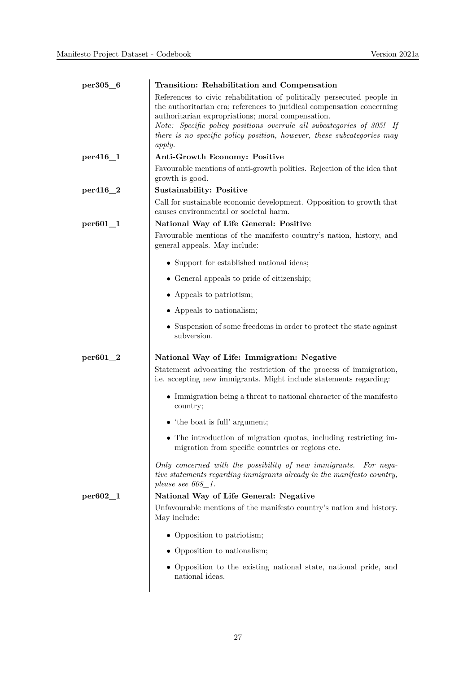| per305_6     | Transition: Rehabilitation and Compensation                                                                                                                                                                                                                                                                                                                        |
|--------------|--------------------------------------------------------------------------------------------------------------------------------------------------------------------------------------------------------------------------------------------------------------------------------------------------------------------------------------------------------------------|
|              | References to civic rehabilitation of politically persecuted people in<br>the authoritarian era; references to juridical compensation concerning<br>authoritarian expropriations; moral compensation.<br>Note: Specific policy positions overrule all subcategories of 305! If<br>there is no specific policy position, however, these subcategories may<br>apply. |
| per416_1     | Anti-Growth Economy: Positive                                                                                                                                                                                                                                                                                                                                      |
|              | Favourable mentions of anti-growth politics. Rejection of the idea that<br>growth is good.                                                                                                                                                                                                                                                                         |
| per416_2     | <b>Sustainability: Positive</b>                                                                                                                                                                                                                                                                                                                                    |
|              | Call for sustainable economic development. Opposition to growth that<br>causes environmental or societal harm.                                                                                                                                                                                                                                                     |
| $per601_1$   | National Way of Life General: Positive                                                                                                                                                                                                                                                                                                                             |
|              | Favourable mentions of the manifesto country's nation, history, and<br>general appeals. May include:                                                                                                                                                                                                                                                               |
|              | • Support for established national ideas;                                                                                                                                                                                                                                                                                                                          |
|              | • General appeals to pride of citizenship;                                                                                                                                                                                                                                                                                                                         |
|              | • Appeals to patriotism;                                                                                                                                                                                                                                                                                                                                           |
|              | • Appeals to nationalism;                                                                                                                                                                                                                                                                                                                                          |
|              | • Suspension of some freedoms in order to protect the state against<br>subversion.                                                                                                                                                                                                                                                                                 |
| $per601_2$   | National Way of Life: Immigration: Negative<br>Statement advocating the restriction of the process of immigration,<br>i.e. accepting new immigrants. Might include statements regarding:                                                                                                                                                                           |
|              | • Immigration being a threat to national character of the manifesto<br>country;                                                                                                                                                                                                                                                                                    |
|              | $\bullet$ 'the boat is full' argument;                                                                                                                                                                                                                                                                                                                             |
|              | The introduction of migration quotas, including restricting im-<br>migration from specific countries or regions etc.                                                                                                                                                                                                                                               |
|              | Only concerned with the possibility of new immigrants. For nega-<br>tive statements regarding immigrants already in the manifesto country,<br>please see 608 1.                                                                                                                                                                                                    |
| $per602 - 1$ | National Way of Life General: Negative                                                                                                                                                                                                                                                                                                                             |
|              | Unfavourable mentions of the manifesto country's nation and history.<br>May include:                                                                                                                                                                                                                                                                               |
|              | • Opposition to patriotism;                                                                                                                                                                                                                                                                                                                                        |
|              | • Opposition to nationalism;                                                                                                                                                                                                                                                                                                                                       |
|              | • Opposition to the existing national state, national pride, and<br>national ideas.                                                                                                                                                                                                                                                                                |
|              |                                                                                                                                                                                                                                                                                                                                                                    |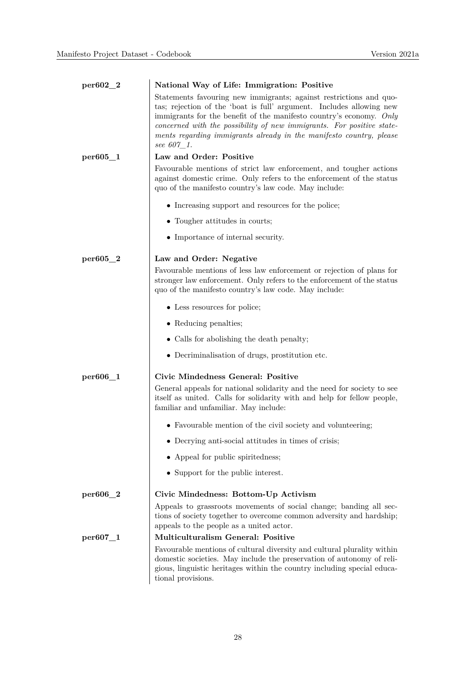| $per602_2$ | National Way of Life: Immigration: Positive                                                                                                                                                                                                                                                                                                                                     |
|------------|---------------------------------------------------------------------------------------------------------------------------------------------------------------------------------------------------------------------------------------------------------------------------------------------------------------------------------------------------------------------------------|
|            | Statements favouring new immigrants; against restrictions and quo-<br>tas; rejection of the 'boat is full' argument. Includes allowing new<br>immigrants for the benefit of the manifesto country's economy. Only<br>concerned with the possibility of new immigrants. For positive state-<br>ments regarding immigrants already in the manifesto country, please<br>see 607 1. |
| per605_1   | Law and Order: Positive                                                                                                                                                                                                                                                                                                                                                         |
|            | Favourable mentions of strict law enforcement, and tougher actions<br>against domestic crime. Only refers to the enforcement of the status<br>quo of the manifesto country's law code. May include:                                                                                                                                                                             |
|            | • Increasing support and resources for the police;                                                                                                                                                                                                                                                                                                                              |
|            | • Tougher attitudes in courts;                                                                                                                                                                                                                                                                                                                                                  |
|            | • Importance of internal security.                                                                                                                                                                                                                                                                                                                                              |
| per605_2   | Law and Order: Negative                                                                                                                                                                                                                                                                                                                                                         |
|            | Favourable mentions of less law enforcement or rejection of plans for<br>stronger law enforcement. Only refers to the enforcement of the status<br>quo of the manifesto country's law code. May include:                                                                                                                                                                        |
|            | • Less resources for police;                                                                                                                                                                                                                                                                                                                                                    |
|            | • Reducing penalties;                                                                                                                                                                                                                                                                                                                                                           |
|            | • Calls for abolishing the death penalty;                                                                                                                                                                                                                                                                                                                                       |
|            | • Decriminalisation of drugs, prostitution etc.                                                                                                                                                                                                                                                                                                                                 |
| per606_1   | Civic Mindedness General: Positive                                                                                                                                                                                                                                                                                                                                              |
|            | General appeals for national solidarity and the need for society to see<br>itself as united. Calls for solidarity with and help for fellow people,<br>familiar and unfamiliar. May include:                                                                                                                                                                                     |
|            | • Favourable mention of the civil society and volunteering;                                                                                                                                                                                                                                                                                                                     |
|            | $\bullet$ Decrying anti-social attitudes in times of crisis;                                                                                                                                                                                                                                                                                                                    |
|            | • Appeal for public spiritedness;                                                                                                                                                                                                                                                                                                                                               |
|            | • Support for the public interest.                                                                                                                                                                                                                                                                                                                                              |
| per606_2   | Civic Mindedness: Bottom-Up Activism                                                                                                                                                                                                                                                                                                                                            |
|            | Appeals to grassroots movements of social change; banding all sec-<br>tions of society together to overcome common adversity and hardship;<br>appeals to the people as a united actor.                                                                                                                                                                                          |
| per607_1   | <b>Multiculturalism General: Positive</b>                                                                                                                                                                                                                                                                                                                                       |
|            | Favourable mentions of cultural diversity and cultural plurality within<br>domestic societies. May include the preservation of autonomy of reli-<br>gious, linguistic heritages within the country including special educa-<br>tional provisions.                                                                                                                               |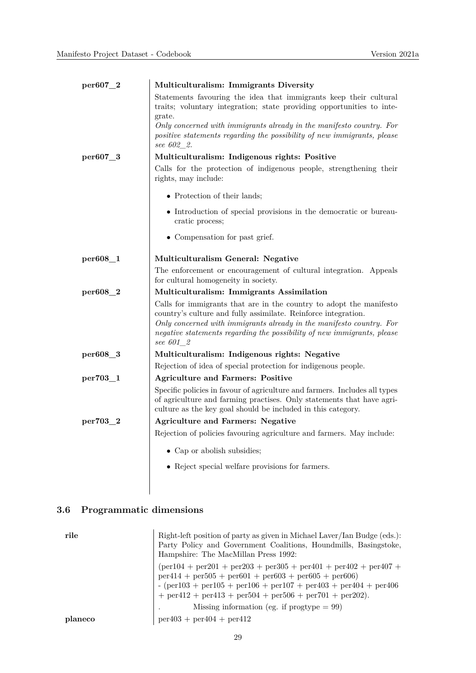| per607_2 | Multiculturalism: Immigrants Diversity                                                                                                                                                                                                                                                                |
|----------|-------------------------------------------------------------------------------------------------------------------------------------------------------------------------------------------------------------------------------------------------------------------------------------------------------|
|          | Statements favouring the idea that immigrants keep their cultural<br>traits; voluntary integration; state providing opportunities to inte-<br>grate.                                                                                                                                                  |
|          | Only concerned with immigrants already in the manifesto country. For<br>positive statements regarding the possibility of new immigrants, please<br>see 602_2.                                                                                                                                         |
| per607_3 | Multiculturalism: Indigenous rights: Positive                                                                                                                                                                                                                                                         |
|          | Calls for the protection of indigenous people, strengthening their<br>rights, may include:                                                                                                                                                                                                            |
|          | • Protection of their lands;                                                                                                                                                                                                                                                                          |
|          | • Introduction of special provisions in the democratic or bureau-<br>cratic process;                                                                                                                                                                                                                  |
|          | • Compensation for past grief.                                                                                                                                                                                                                                                                        |
| per608_1 | Multiculturalism General: Negative                                                                                                                                                                                                                                                                    |
|          | The enforcement or encouragement of cultural integration. Appeals<br>for cultural homogeneity in society.                                                                                                                                                                                             |
| per608_2 | Multiculturalism: Immigrants Assimilation                                                                                                                                                                                                                                                             |
|          | Calls for immigrants that are in the country to adopt the manifesto<br>country's culture and fully assimilate. Reinforce integration.<br>Only concerned with immigrants already in the manifesto country. For<br>negative statements regarding the possibility of new immigrants, please<br>see 601 2 |
| per608_3 | Multiculturalism: Indigenous rights: Negative                                                                                                                                                                                                                                                         |
|          | Rejection of idea of special protection for indigenous people.                                                                                                                                                                                                                                        |
| per703_1 | <b>Agriculture and Farmers: Positive</b>                                                                                                                                                                                                                                                              |
|          | Specific policies in favour of agriculture and farmers. Includes all types<br>of agriculture and farming practises. Only statements that have agri-<br>culture as the key goal should be included in this category.                                                                                   |
| per703_2 | <b>Agriculture and Farmers: Negative</b>                                                                                                                                                                                                                                                              |
|          | Rejection of policies favouring agriculture and farmers. May include:                                                                                                                                                                                                                                 |
|          | • Cap or abolish subsidies;                                                                                                                                                                                                                                                                           |
|          | • Reject special welfare provisions for farmers.                                                                                                                                                                                                                                                      |

# **3.6 Programmatic dimensions**

| rile    | Right-left position of party as given in Michael Laver/Ian Budge (eds.):<br>Party Policy and Government Coalitions, Houndmills, Basingstoke,<br>Hampshire: The MacMillan Press 1992:                                                                                                                                            |
|---------|---------------------------------------------------------------------------------------------------------------------------------------------------------------------------------------------------------------------------------------------------------------------------------------------------------------------------------|
|         | $per104 + per201 + per203 + per305 + per401 + per402 + per407 +$<br>$per414 + per505 + per601 + per603 + per605 + per606$<br>$-(\text{per}103 + \text{per}105 + \text{per}106 + \text{per}107 + \text{per}403 + \text{per}404 + \text{per}406)$<br>$+$ per $412 +$ per $413 +$ per $504 +$ per $506 +$ per $701 +$ per $202$ ). |
|         | Missing information (eg. if $\text{progtype} = 99$ )                                                                                                                                                                                                                                                                            |
| planeco | $per403 + per404 + per412$                                                                                                                                                                                                                                                                                                      |